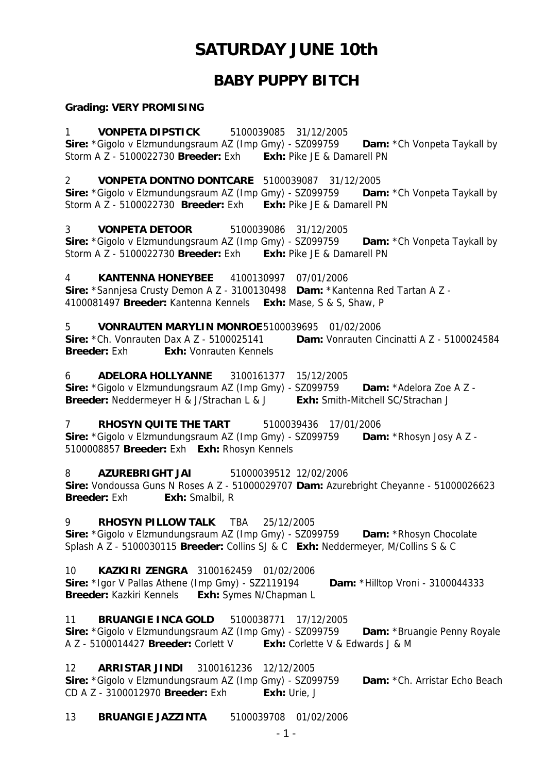# **SATURDAY JUNE 10th**

# **BABY PUPPY BITCH**

#### **Grading: VERY PROMISING**

1 **VONPETA DIPSTICK** 5100039085 31/12/2005 **Sire:** \*Gigolo v Elzmundungsraum AZ (Imp Gmy) - SZ099759 **Dam:** \*Ch Vonpeta Taykall by Storm A Z - 5100022730 **Breeder:** Exh **Exh:** Pike JE & Damarell PN

2 **VONPETA DONTNO DONTCARE** 5100039087 31/12/2005

**Sire:** \*Gigolo v Elzmundungsraum AZ (Imp Gmy) - SZ099759 **Dam:** \*Ch Vonpeta Taykall by Storm A Z - 5100022730 **Breeder:** Exh **Exh:** Pike JE & Damarell PN

3 **VONPETA DETOOR** 5100039086 31/12/2005 **Sire:** \*Gigolo v Elzmundungsraum AZ (Imp Gmy) - SZ099759 **Dam:** \*Ch Vonpeta Taykall by Storm A Z - 5100022730 **Breeder:** Exh **Exh:** Pike JE & Damarell PN

4 **KANTENNA HONEYBEE** 4100130997 07/01/2006 **Sire:** \*Sannjesa Crusty Demon A Z - 3100130498 **Dam:** \*Kantenna Red Tartan A Z - 4100081497 **Breeder:** Kantenna Kennels **Exh:** Mase, S & S, Shaw, P

5 **VONRAUTEN MARYLIN MONROE** 5100039695 01/02/2006 **Sire:** \*Ch. Vonrauten Dax A Z - 5100025141 **Dam:** Vonrauten Cincinatti A Z - 5100024584 **Breeder:** Exh **Exh:** Vonrauten Kennels

6 **ADELORA HOLLYANNE** 3100161377 15/12/2005 **Sire:** \*Gigolo v Elzmundungsraum AZ (Imp Gmy) - SZ099759 **Dam:** \*Adelora Zoe A Z -**Breeder:** Neddermeyer H & J/Strachan L & J **Exh:** Smith-Mitchell SC/Strachan J

7 **RHOSYN QUITE THE TART** 5100039436 17/01/2006 **Sire:** \*Gigolo v Elzmundungsraum AZ (Imp Gmy) - SZ099759 **Dam:** \*Rhosyn Josy A Z - 5100008857 **Breeder:** Exh **Exh:** Rhosyn Kennels

8 **AZUREBRIGHT JAI** 51000039512 12/02/2006 **Sire:** Vondoussa Guns N Roses A Z - 51000029707 **Dam:** Azurebright Cheyanne - 51000026623 **Breeder:** Exh **Exh:** Smalbil, R

9 **RHOSYN PILLOW TALK** TBA 25/12/2005

**Sire:** \*Gigolo v Elzmundungsraum AZ (Imp Gmy) - SZ099759 **Dam:** \*Rhosyn Chocolate Splash A Z - 5100030115 **Breeder:** Collins SJ & C **Exh:** Neddermeyer, M/Collins S & C

10 **KAZKIRI ZENGRA** 3100162459 01/02/2006 **Sire:** \*Igor V Pallas Athene (Imp Gmy) - SZ2119194 **Dam:** \*Hilltop Vroni - 3100044333 **Breeder:** Kazkiri Kennels **Exh:** Symes N/Chapman L

11 **BRUANGIE INCA GOLD** 5100038771 17/12/2005 **Sire:** \*Gigolo v Elzmundungsraum AZ (Imp Gmy) - SZ099759 **Dam:** \*Bruangie Penny Royale A Z - 5100014427 **Breeder:** Corlett V **Exh:** Corlette V & Edwards J & M

12 **ARRISTAR JINDI** 3100161236 12/12/2005 Sire: \*Gigolo v Elzmundungsraum AZ (Imp Gmy) - SZ099759 **Dam:** \*Ch. Arristar Echo Beach CD A Z - 3100012970 **Breeder:** Exh **Exh:** Urie, J

13 **BRUANGIE JAZZINTA** 5100039708 01/02/2006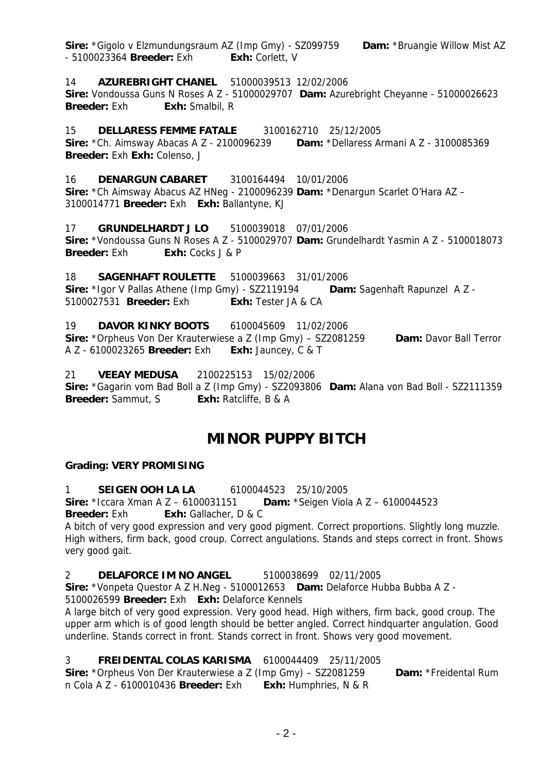**Sire:** \*Gigolo v Elzmundungsraum AZ (Imp Gmy) - SZ099759 **Dam:** \*Bruangie Willow Mist AZ - 5100023364 **Breeder:** Exh **Exh:** Corlett, V

14 **AZUREBRIGHT CHANEL** 51000039513 12/02/2006

**Sire:** Vondoussa Guns N Roses A Z - 51000029707 **Dam:** Azurebright Cheyanne - 51000026623 **Breeder:** Exh **Exh:** Smalbil, R

15 **DELLARESS FEMME FATALE** 3100162710 25/12/2005 **Sire:** \*Ch. Aimsway Abacas A Z - 2100096239 **Dam:** \*Dellaress Armani A Z - 3100085369 **Breeder:** Exh **Exh:** Colenso, J

16 **DENARGUN CABARET** 3100164494 10/01/2006 **Sire:** \*Ch Aimsway Abacus AZ HNeg - 2100096239 **Dam:** \*Denargun Scarlet O'Hara AZ – 3100014771 **Breeder:** Exh **Exh:** Ballantyne, KJ

17 **GRUNDELHARDT J LO** 5100039018 07/01/2006 **Sire:** \*Vondoussa Guns N Roses A Z - 5100029707 **Dam:** Grundelhardt Yasmin A Z - 5100018073 **Breeder:** Exh: Exh: Cocks J & P

18 **SAGENHAFT ROULETTE** 5100039663 31/01/2006 **Sire:** \*Igor V Pallas Athene (Imp Gmy) - SZ2119194 **Dam:** Sagenhaft Rapunzel A Z - 5100027531 **Breeder:** Exh **Exh:** Tester JA & CA

19 **DAVOR KINKY BOOTS** 6100045609 11/02/2006 **Sire:** \*Orpheus Von Der Krauterwiese a Z (Imp Gmy) – SZ2081259 **Dam:** Davor Ball Terror A Z - 6100023265 **Breeder:** Exh **Exh:** Jauncey, C & T

21 **VEEAY MEDUSA** 2100225153 15/02/2006 **Sire:** \*Gagarin vom Bad Boll a Z (Imp Gmy) - SZ2093806 **Dam:** Alana von Bad Boll - SZ2111359 **Breeder:** Sammut, S **Exh:** Ratcliffe, B & A

# **MINOR PUPPY BITCH**

#### **Grading: VERY PROMISING**

1 **SEIGEN OOH LA LA** 6100044523 25/10/2005 **Sire:** \*Iccara Xman A Z – 6100031151 **Dam:** \*Seigen Viola A Z – 6100044523

**Breeder:** Exh **Exh:** Gallacher, D & C

A bitch of very good expression and very good pigment. Correct proportions. Slightly long muzzle. High withers, firm back, good croup. Correct angulations. Stands and steps correct in front. Shows very good gait.

2 **DELAFORCE IM NO ANGEL** 5100038699 02/11/2005

**Sire:** \*Vonpeta Questor A Z H.Neg - 5100012653 **Dam:** Delaforce Hubba Bubba A Z -

5100026599 **Breeder:** Exh **Exh:** Delaforce Kennels

A large bitch of very good expression. Very good head. High withers, firm back, good croup. The upper arm which is of good length should be better angled. Correct hindquarter angulation. Good underline. Stands correct in front. Stands correct in front. Shows very good movement.

3 **FREIDENTAL COLAS KARISMA** 6100044409 25/11/2005

**Sire:** \*Orpheus Von Der Krauterwiese a Z (Imp Gmy) – SZ2081259 **Dam:** \*Freidental Rum n Cola A Z - 6100010436 **Breeder:** Exh **Exh:** Humphries, N & R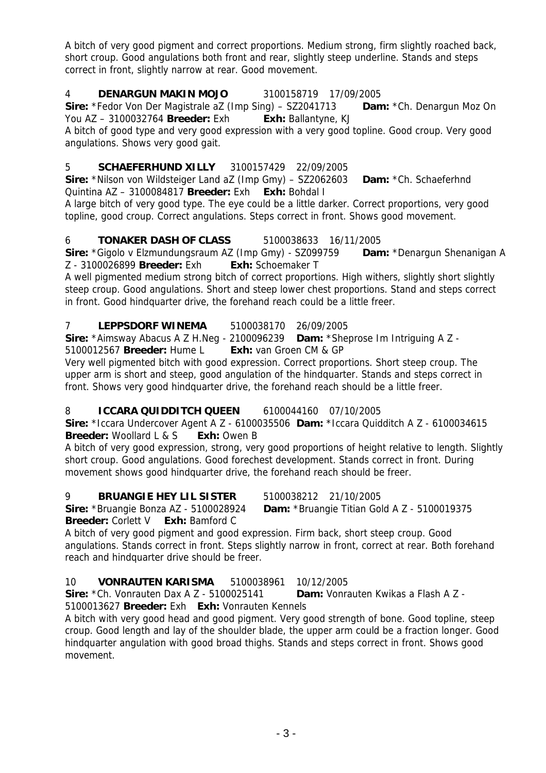A bitch of very good pigment and correct proportions. Medium strong, firm slightly roached back, short croup. Good angulations both front and rear, slightly steep underline. Stands and steps correct in front, slightly narrow at rear. Good movement.

### 4 **DENARGUN MAKIN MOJO** 3100158719 17/09/2005

**Sire:** \*Fedor Von Der Magistrale aZ (Imp Sing) – SZ2041713 **Dam:** \*Ch. Denargun Moz On You AZ – 3100032764 **Breeder:** Exh **Exh:** Ballantyne, KJ

A bitch of good type and very good expression with a very good topline. Good croup. Very good angulations. Shows very good gait.

### 5 **SCHAEFERHUND XILLY** 3100157429 22/09/2005

**Sire:** \*Nilson von Wildsteiger Land aZ (Imp Gmy) – SZ2062603 **Dam:** \*Ch. Schaeferhnd Quintina AZ – 3100084817 **Breeder:** Exh **Exh:** Bohdal I

A large bitch of very good type. The eye could be a little darker. Correct proportions, very good topline, good croup. Correct angulations. Steps correct in front. Shows good movement.

#### 6 **TONAKER DASH OF CLASS** 5100038633 16/11/2005

**Sire:** \*Gigolo v Elzmundungsraum AZ (Imp Gmy) - SZ099759 **Dam:** \*Denargun Shenanigan A Z - 3100026899 **Breeder:** Exh **Exh:** Schoemaker T

A well pigmented medium strong bitch of correct proportions. High withers, slightly short slightly steep croup. Good angulations. Short and steep lower chest proportions. Stand and steps correct in front. Good hindquarter drive, the forehand reach could be a little freer.

7 **LEPPSDORF WINEMA** 5100038170 26/09/2005

**Sire:** \*Aimsway Abacus A Z H.Neg - 2100096239 **Dam:** \*Sheprose Im Intriguing A Z -

5100012567 **Breeder:** Hume L **Exh:** van Groen CM & GP

Very well pigmented bitch with good expression. Correct proportions. Short steep croup. The upper arm is short and steep, good angulation of the hindquarter. Stands and steps correct in front. Shows very good hindquarter drive, the forehand reach should be a little freer.

#### 8 **ICCARA QUIDDITCH QUEEN** 6100044160 07/10/2005

**Sire:** \*Iccara Undercover Agent A Z - 6100035506 **Dam:** \*Iccara Quidditch A Z - 6100034615 **Breeder:** Woollard L & S **Exh:** Owen B

A bitch of very good expression, strong, very good proportions of height relative to length. Slightly short croup. Good angulations. Good forechest development. Stands correct in front. During movement shows good hindquarter drive, the forehand reach should be freer.

#### 9 **BRUANGIE HEY LIL SISTER** 5100038212 21/10/2005

**Sire:** \*Bruangie Bonza AZ - 5100028924 **Dam:** \*Bruangie Titian Gold A Z - 5100019375

**Breeder:** Corlett V **Exh:** Bamford C

A bitch of very good pigment and good expression. Firm back, short steep croup. Good angulations. Stands correct in front. Steps slightly narrow in front, correct at rear. Both forehand reach and hindquarter drive should be freer.

#### 10 **VONRAUTEN KARISMA** 5100038961 10/12/2005 **Sire:** \*Ch. Vonrauten Dax A Z - 5100025141 **Dam:** Vonrauten Kwikas a Flash A Z - 5100013627 **Breeder:** Exh **Exh:** Vonrauten Kennels

A bitch with very good head and good pigment. Very good strength of bone. Good topline, steep croup. Good length and lay of the shoulder blade, the upper arm could be a fraction longer. Good hindquarter angulation with good broad thighs. Stands and steps correct in front. Shows good movement.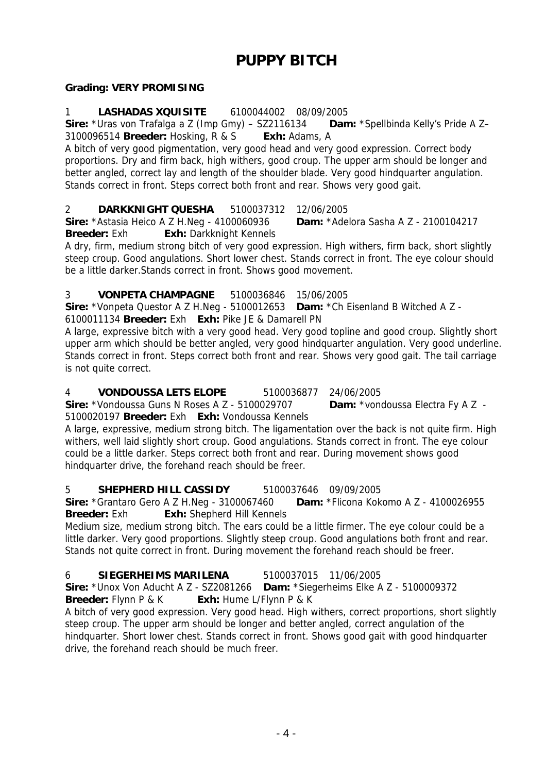# **PUPPY BITCH**

# **Grading: VERY PROMISING**

# 1 **LASHADAS XQUISITE** 6100044002 08/09/2005

**Sire:** \*Uras von Trafalga a Z (Imp Gmy) – SZ2116134 **Dam:** \*Spellbinda Kelly's Pride A Z– 3100096514 **Breeder:** Hosking, R & S **Exh:** Adams, A

A bitch of very good pigmentation, very good head and very good expression. Correct body proportions. Dry and firm back, high withers, good croup. The upper arm should be longer and better angled, correct lay and length of the shoulder blade. Very good hindquarter angulation. Stands correct in front. Steps correct both front and rear. Shows very good gait.

2 **DARKKNIGHT QUESHA** 5100037312 12/06/2005

**Sire:** \*Astasia Heico A Z H.Neg - 4100060936 **Dam:** \*Adelora Sasha A Z - 2100104217 **Breeder:** Exh **Exh:** Darkknight Kennels

A dry, firm, medium strong bitch of very good expression. High withers, firm back, short slightly steep croup. Good angulations. Short lower chest. Stands correct in front. The eye colour should be a little darker.Stands correct in front. Shows good movement.

# 3 **VONPETA CHAMPAGNE** 5100036846 15/06/2005

**Sire:** \*Vonpeta Questor A Z H.Neg - 5100012653 **Dam:** \*Ch Eisenland B Witched A Z -

6100011134 **Breeder:** Exh **Exh:** Pike JE & Damarell PN

A large, expressive bitch with a very good head. Very good topline and good croup. Slightly short upper arm which should be better angled, very good hindquarter angulation. Very good underline. Stands correct in front. Steps correct both front and rear. Shows very good gait. The tail carriage is not quite correct.

### 4 **VONDOUSSA LETS ELOPE** 5100036877 24/06/2005

**Sire:** \*Vondoussa Guns N Roses A Z - 5100029707 **Dam:** \*vondoussa Electra Fy A Z -

5100020197 **Breeder:** Exh **Exh:** Vondoussa Kennels

A large, expressive, medium strong bitch. The ligamentation over the back is not quite firm. High withers, well laid slightly short croup. Good angulations. Stands correct in front. The eye colour could be a little darker. Steps correct both front and rear. During movement shows good hindquarter drive, the forehand reach should be freer.

5 **SHEPHERD HILL CASSIDY** 5100037646 09/09/2005 **Sire:** \*Grantaro Gero A Z H.Neg - 3100067460 **Dam:** \*Flicona Kokomo A Z - 4100026955 **Breeder:** Exh **Exh:** Shepherd Hill Kennels

Medium size, medium strong bitch. The ears could be a little firmer. The eye colour could be a little darker. Very good proportions. Slightly steep croup. Good angulations both front and rear. Stands not quite correct in front. During movement the forehand reach should be freer.

# 6 **SIEGERHEIMS MARILENA** 5100037015 11/06/2005

**Sire:** \*Unox Von Aducht A Z - SZ2081266 **Dam:** \*Siegerheims Elke A Z - 5100009372 **Breeder:** Flynn P & K **Exh:** Hume L/Flynn P & K

A bitch of very good expression. Very good head. High withers, correct proportions, short slightly steep croup. The upper arm should be longer and better angled, correct angulation of the hindquarter. Short lower chest. Stands correct in front. Shows good gait with good hindquarter drive, the forehand reach should be much freer.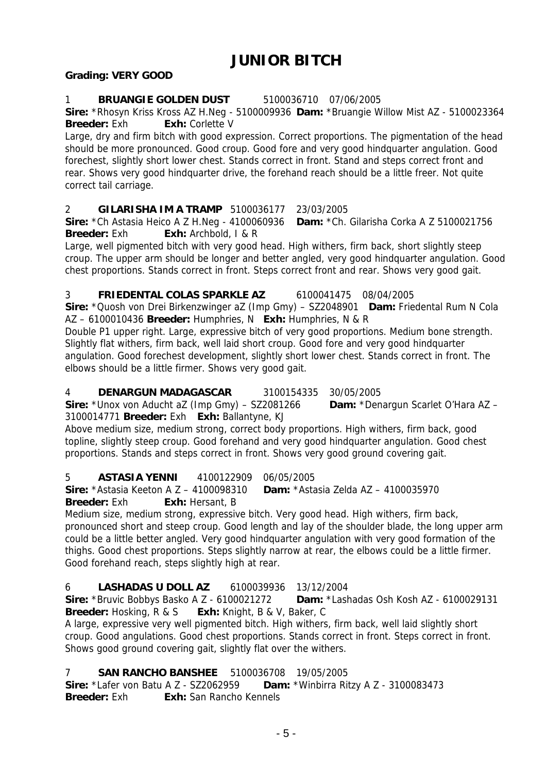# **JUNIOR BITCH**

### **Grading: VERY GOOD**

### 1 **BRUANGIE GOLDEN DUST** 5100036710 07/06/2005

**Sire:** \*Rhosyn Kriss Kross AZ H.Neg - 5100009936 **Dam:** \*Bruangie Willow Mist AZ - 5100023364 **Breeder:** Exh **Exh:** Corlette V

Large, dry and firm bitch with good expression. Correct proportions. The pigmentation of the head should be more pronounced. Good croup. Good fore and very good hindquarter angulation. Good forechest, slightly short lower chest. Stands correct in front. Stand and steps correct front and rear. Shows very good hindquarter drive, the forehand reach should be a little freer. Not quite correct tail carriage.

2 **GILARISHA IM A TRAMP** 5100036177 23/03/2005

**Sire:** \*Ch Astasia Heico A Z H.Neg - 4100060936 **Dam:** \*Ch. Gilarisha Corka A Z 5100021756 **Breeder:** Exh **Exh:** Archbold, I & R

Large, well pigmented bitch with very good head. High withers, firm back, short slightly steep croup. The upper arm should be longer and better angled, very good hindquarter angulation. Good chest proportions. Stands correct in front. Steps correct front and rear. Shows very good gait.

#### 3 **FRIEDENTAL COLAS SPARKLE AZ** 6100041475 08/04/2005

**Sire:** \*Quosh von Drei Birkenzwinger aZ (Imp Gmy) – SZ2048901 **Dam:** Friedental Rum N Cola AZ – 6100010436 **Breeder:** Humphries, N **Exh:** Humphries, N & R

Double P1 upper right. Large, expressive bitch of very good proportions. Medium bone strength. Slightly flat withers, firm back, well laid short croup. Good fore and very good hindquarter angulation. Good forechest development, slightly short lower chest. Stands correct in front. The elbows should be a little firmer. Shows very good gait.

# 4 **DENARGUN MADAGASCAR** 3100154335 30/05/2005

**Sire:** \*Unox von Aducht aZ (Imp Gmy) – SZ2081266 **Dam:** \*Denargun Scarlet O'Hara AZ – 3100014771 **Breeder:** Exh **Exh:** Ballantyne, KJ

Above medium size, medium strong, correct body proportions. High withers, firm back, good topline, slightly steep croup. Good forehand and very good hindquarter angulation. Good chest proportions. Stands and steps correct in front. Shows very good ground covering gait.

# 5 **ASTASIA YENNI** 4100122909 06/05/2005

**Sire:** \*Astasia Keeton A Z – 4100098310 **Dam:** \*Astasia Zelda AZ – 4100035970 **Breeder:** Exh **Exh:** Hersant, B

Medium size, medium strong, expressive bitch. Very good head. High withers, firm back, pronounced short and steep croup. Good length and lay of the shoulder blade, the long upper arm could be a little better angled. Very good hindquarter angulation with very good formation of the thighs. Good chest proportions. Steps slightly narrow at rear, the elbows could be a little firmer. Good forehand reach, steps slightly high at rear.

# 6 **LASHADAS U DOLL AZ** 6100039936 13/12/2004

**Sire:** \*Bruvic Bobbys Basko A Z - 6100021272 **Dam:** \*Lashadas Osh Kosh AZ - 6100029131 **Breeder:** Hosking, R & S **Exh:** Knight, B & V, Baker, C

A large, expressive very well pigmented bitch. High withers, firm back, well laid slightly short croup. Good angulations. Good chest proportions. Stands correct in front. Steps correct in front. Shows good ground covering gait, slightly flat over the withers.

# 7 **SAN RANCHO BANSHEE** 5100036708 19/05/2005

**Sire:** \*Lafer von Batu A Z - SZ2062959 **Dam:** \*Winbirra Ritzy A Z - 3100083473 **Breeder:** Exh **Exh:** San Rancho Kennels

- 5 -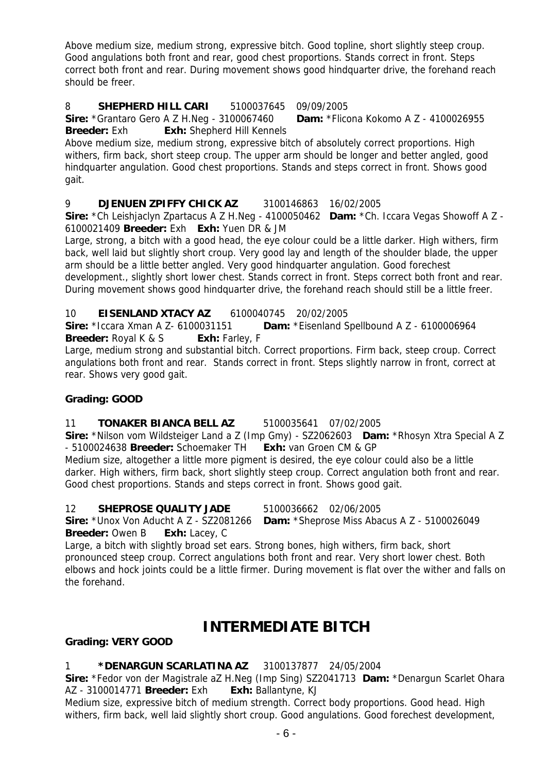Above medium size, medium strong, expressive bitch. Good topline, short slightly steep croup. Good angulations both front and rear, good chest proportions. Stands correct in front. Steps correct both front and rear. During movement shows good hindquarter drive, the forehand reach should be freer.

#### 8 **SHEPHERD HILL CARI** 5100037645 09/09/2005

**Sire:** \*Grantaro Gero A Z H.Neg - 3100067460 **Dam:** \*Flicona Kokomo A Z - 4100026955 **Breeder:** Exh **Exh:** Shepherd Hill Kennels

Above medium size, medium strong, expressive bitch of absolutely correct proportions. High withers, firm back, short steep croup. The upper arm should be longer and better angled, good hindquarter angulation. Good chest proportions. Stands and steps correct in front. Shows good gait.

# 9 **DJENUEN ZPIFFY CHICK AZ** 3100146863 16/02/2005

**Sire:** \*Ch Leishjaclyn Zpartacus A Z H.Neg - 4100050462 **Dam:** \*Ch. Iccara Vegas Showoff A Z - 6100021409 **Breeder:** Exh **Exh:** Yuen DR & JM

Large, strong, a bitch with a good head, the eye colour could be a little darker. High withers, firm back, well laid but slightly short croup. Very good lay and length of the shoulder blade, the upper arm should be a little better angled. Very good hindquarter angulation. Good forechest

development., slightly short lower chest. Stands correct in front. Steps correct both front and rear. During movement shows good hindquarter drive, the forehand reach should still be a little freer.

#### 10 **EISENLAND XTACY AZ** 6100040745 20/02/2005

**Sire:** \*Iccara Xman A Z- 6100031151 **Dam:** \*Eisenland Spellbound A Z - 6100006964 **Breeder:** Royal K & S **Exh:** Farley, F

Large, medium strong and substantial bitch. Correct proportions. Firm back, steep croup. Correct angulations both front and rear. Stands correct in front. Steps slightly narrow in front, correct at rear. Shows very good gait.

#### **Grading: GOOD**

#### 11 **TONAKER BIANCA BELL AZ** 5100035641 07/02/2005

**Sire:** \*Nilson vom Wildsteiger Land a Z (Imp Gmy) - SZ2062603 **Dam:** \*Rhosyn Xtra Special A Z - 5100024638 **Breeder:** Schoemaker TH **Exh:** van Groen CM & GP

Medium size, altogether a little more pigment is desired, the eye colour could also be a little darker. High withers, firm back, short slightly steep croup. Correct angulation both front and rear. Good chest proportions. Stands and steps correct in front. Shows good gait.

#### 12 **SHEPROSE QUALITY JADE** 5100036662 02/06/2005

**Sire:** \*Unox Von Aducht A Z - SZ2081266 **Dam:** \*Sheprose Miss Abacus A Z - 5100026049 **Breeder:** Owen B **Exh:** Lacey, C

Large, a bitch with slightly broad set ears. Strong bones, high withers, firm back, short pronounced steep croup. Correct angulations both front and rear. Very short lower chest. Both elbows and hock joints could be a little firmer. During movement is flat over the wither and falls on the forehand.

# **INTERMEDIATE BITCH**

#### **Grading: VERY GOOD**

#### 1 **\*DENARGUN SCARLATINA AZ** 3100137877 24/05/2004

**Sire:** \*Fedor von der Magistrale aZ H.Neg (Imp Sing) SZ2041713 **Dam:** \*Denargun Scarlet Ohara AZ - 3100014771 **Breeder:** Exh **Exh:** Ballantyne, KJ

Medium size, expressive bitch of medium strength. Correct body proportions. Good head. High withers, firm back, well laid slightly short croup. Good angulations. Good forechest development,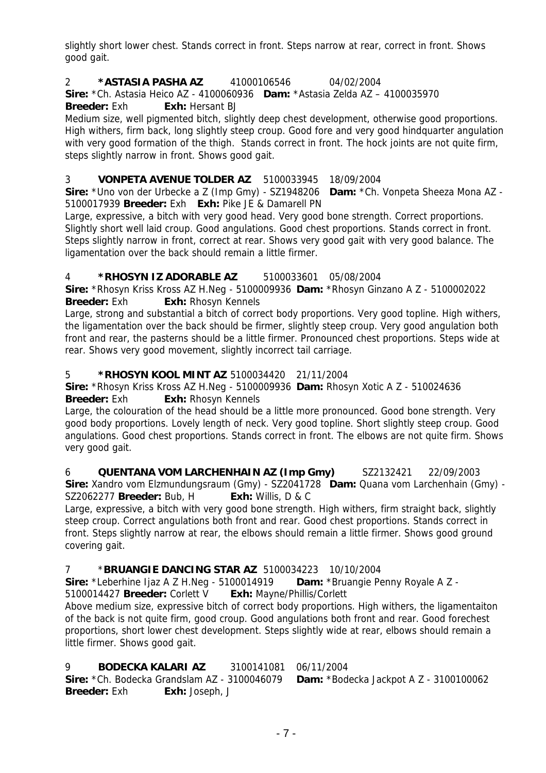slightly short lower chest. Stands correct in front. Steps narrow at rear, correct in front. Shows good gait.

2 **\*ASTASIA PASHA AZ** 41000106546 04/02/2004

**Sire:** \*Ch. Astasia Heico AZ - 4100060936 **Dam:** \*Astasia Zelda AZ – 4100035970 **Breeder:** Exh **Exh:** Hersant BJ

Medium size, well pigmented bitch, slightly deep chest development, otherwise good proportions. High withers, firm back, long slightly steep croup. Good fore and very good hindquarter angulation with very good formation of the thigh. Stands correct in front. The hock joints are not quite firm, steps slightly narrow in front. Shows good gait.

# 3 **VONPETA AVENUE TOLDER AZ** 5100033945 18/09/2004

**Sire:** \*Uno von der Urbecke a Z (Imp Gmy) - SZ1948206 **Dam:** \*Ch. Vonpeta Sheeza Mona AZ - 5100017939 **Breeder:** Exh **Exh:** Pike JE & Damarell PN

Large, expressive, a bitch with very good head. Very good bone strength. Correct proportions. Slightly short well laid croup. Good angulations. Good chest proportions. Stands correct in front. Steps slightly narrow in front, correct at rear. Shows very good gait with very good balance. The ligamentation over the back should remain a little firmer.

# 4 **\*RHOSYN IZ ADORABLE AZ** 5100033601 05/08/2004

**Sire:** \*Rhosyn Kriss Kross AZ H.Neg - 5100009936 **Dam:** \*Rhosyn Ginzano A Z - 5100002022 **Breeder:** Exh **Exh:** Rhosyn Kennels

Large, strong and substantial a bitch of correct body proportions. Very good topline. High withers, the ligamentation over the back should be firmer, slightly steep croup. Very good angulation both front and rear, the pasterns should be a little firmer. Pronounced chest proportions. Steps wide at rear. Shows very good movement, slightly incorrect tail carriage.

### 5 **\*RHOSYN KOOL MINT AZ** 5100034420 21/11/2004

**Sire:** \*Rhosyn Kriss Kross AZ H.Neg - 5100009936 **Dam:** Rhosyn Xotic A Z - 510024636 **Breeder:** Exh **Exh:** Rhosyn Kennels

Large, the colouration of the head should be a little more pronounced. Good bone strength. Very good body proportions. Lovely length of neck. Very good topline. Short slightly steep croup. Good angulations. Good chest proportions. Stands correct in front. The elbows are not quite firm. Shows very good gait.

6 **QUENTANA VOM LARCHENHAIN AZ (Imp Gmy)** SZ2132421 22/09/2003 **Sire:** Xandro vom Elzmundungsraum (Gmy) - SZ2041728 **Dam:** Quana vom Larchenhain (Gmy) - SZ2062277 **Breeder:** Bub, H **Exh:** Willis, D & C

Large, expressive, a bitch with very good bone strength. High withers, firm straight back, slightly steep croup. Correct angulations both front and rear. Good chest proportions. Stands correct in front. Steps slightly narrow at rear, the elbows should remain a little firmer. Shows good ground covering gait.

# 7 \***BRUANGIE DANCING STAR AZ** 5100034223 10/10/2004

**Sire:** \*Leberhine Ijaz A Z H.Neg - 5100014919 **Dam:** \*Bruangie Penny Royale A Z - 5100014427 **Breeder:** Corlett V **Exh:** Mayne/Phillis/Corlett

Above medium size, expressive bitch of correct body proportions. High withers, the ligamentaiton of the back is not quite firm, good croup. Good angulations both front and rear. Good forechest proportions, short lower chest development. Steps slightly wide at rear, elbows should remain a little firmer. Shows good gait.

# 9 **BODECKA KALARI AZ** 3100141081 06/11/2004

**Sire:** \*Ch. Bodecka Grandslam AZ - 3100046079 **Dam:** \*Bodecka Jackpot A Z - 3100100062 **Breeder:** Exh **Exh:** Joseph, J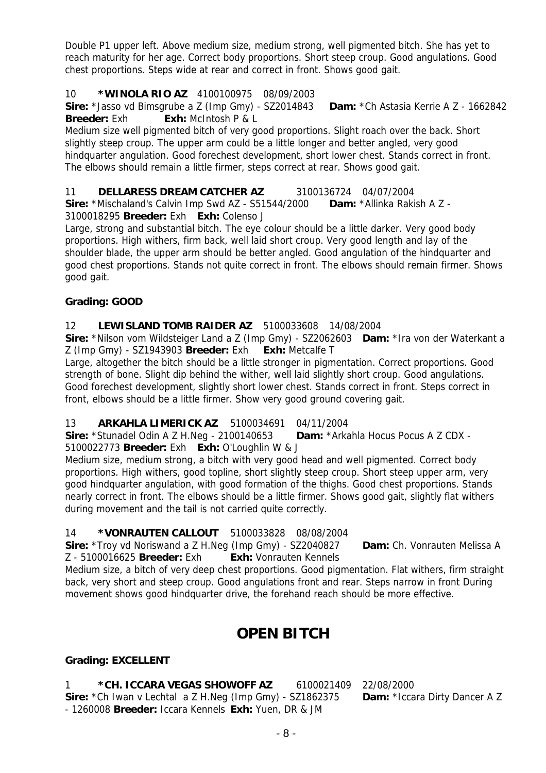Double P1 upper left. Above medium size, medium strong, well pigmented bitch. She has yet to reach maturity for her age. Correct body proportions. Short steep croup. Good angulations. Good chest proportions. Steps wide at rear and correct in front. Shows good gait.

### 10 **\*WINOLA RIO AZ** 4100100975 08/09/2003

**Sire:** \*Jasso vd Bimsgrube a Z (Imp Gmy) - SZ2014843 **Dam:** \*Ch Astasia Kerrie A Z - 1662842 **Breeder:** Exh **Exh:** McIntosh P & L

Medium size well pigmented bitch of very good proportions. Slight roach over the back. Short slightly steep croup. The upper arm could be a little longer and better angled, very good hindquarter angulation. Good forechest development, short lower chest. Stands correct in front. The elbows should remain a little firmer, steps correct at rear. Shows good gait.

11 **DELLARESS DREAM CATCHER AZ** 3100136724 04/07/2004

**Sire:** \*Mischaland's Calvin Imp Swd AZ - S51544/2000 **Dam:** \*Allinka Rakish A Z - 3100018295 **Breeder:** Exh **Exh:** Colenso J

Large, strong and substantial bitch. The eye colour should be a little darker. Very good body proportions. High withers, firm back, well laid short croup. Very good length and lay of the shoulder blade, the upper arm should be better angled. Good angulation of the hindquarter and good chest proportions. Stands not quite correct in front. The elbows should remain firmer. Shows good gait.

### **Grading: GOOD**

# 12 **LEWISLAND TOMB RAIDER AZ** 5100033608 14/08/2004

**Sire:** \*Nilson vom Wildsteiger Land a Z (Imp Gmy) - SZ2062603 **Dam:** \*Ira von der Waterkant a Z (Imp Gmy) - SZ1943903 **Breeder:** Exh **Exh:** Metcalfe T

Large, altogether the bitch should be a little stronger in pigmentation. Correct proportions. Good strength of bone. Slight dip behind the wither, well laid slightly short croup. Good angulations. Good forechest development, slightly short lower chest. Stands correct in front. Steps correct in front, elbows should be a little firmer. Show very good ground covering gait.

# 13 **ARKAHLA LIMERICK AZ** 5100034691 04/11/2004

**Sire:** \*Stunadel Odin A Z H.Neg - 2100140653 **Dam:** \*Arkahla Hocus Pocus A Z CDX -

5100022773 **Breeder:** Exh **Exh:** O'Loughlin W & J

Medium size, medium strong, a bitch with very good head and well pigmented. Correct body proportions. High withers, good topline, short slightly steep croup. Short steep upper arm, very good hindquarter angulation, with good formation of the thighs. Good chest proportions. Stands nearly correct in front. The elbows should be a little firmer. Shows good gait, slightly flat withers during movement and the tail is not carried quite correctly.

# 14 **\*VONRAUTEN CALLOUT** 5100033828 08/08/2004

**Sire:** \*Troy vd Noriswand a Z H.Neg (Imp Gmy) - SZ2040827 **Dam:** Ch. Vonrauten Melissa A Z - 5100016625 **Breeder:** Exh **Exh:** Vonrauten Kennels

Medium size, a bitch of very deep chest proportions. Good pigmentation. Flat withers, firm straight back, very short and steep croup. Good angulations front and rear. Steps narrow in front During movement shows good hindquarter drive, the forehand reach should be more effective.

# **OPEN BITCH**

# **Grading: EXCELLENT**

1 **\*CH. ICCARA VEGAS SHOWOFF AZ** 6100021409 22/08/2000 **Sire:** \*Ch Iwan v Lechtal a Z H.Neg (Imp Gmy) - SZ1862375 **Dam:** \*Iccara Dirty Dancer A Z - 1260008 **Breeder:** Iccara Kennels **Exh:** Yuen, DR & JM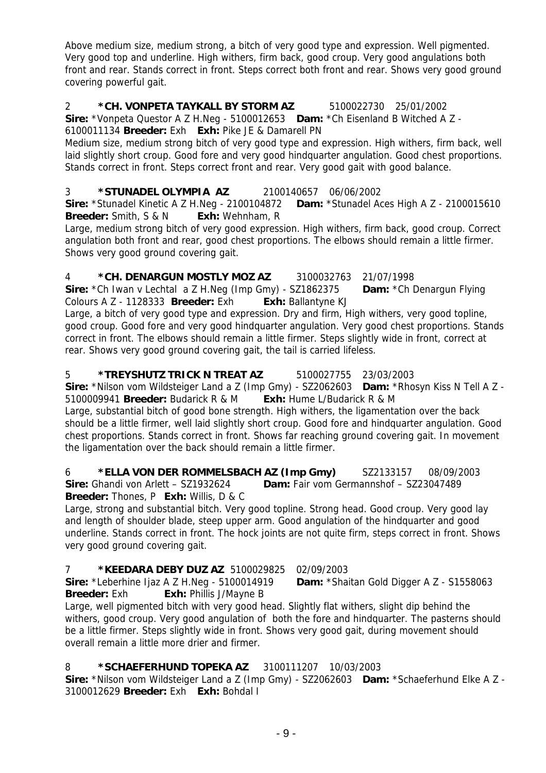Above medium size, medium strong, a bitch of very good type and expression. Well pigmented. Very good top and underline. High withers, firm back, good croup. Very good angulations both front and rear. Stands correct in front. Steps correct both front and rear. Shows very good ground covering powerful gait.

2 **\*CH. VONPETA TAYKALL BY STORM AZ** 5100022730 25/01/2002 **Sire:** \*Vonpeta Questor A Z H.Neg - 5100012653 **Dam:** \*Ch Eisenland B Witched A Z -

6100011134 **Breeder:** Exh **Exh:** Pike JE & Damarell PN

Medium size, medium strong bitch of very good type and expression. High withers, firm back, well laid slightly short croup. Good fore and very good hindquarter angulation. Good chest proportions. Stands correct in front. Steps correct front and rear. Very good gait with good balance.

# 3 **\*STUNADEL OLYMPIA AZ** 2100140657 06/06/2002

**Sire:** \*Stunadel Kinetic A Z H.Neg - 2100104872 **Dam:** \*Stunadel Aces High A Z - 2100015610 **Breeder:** Smith, S & N **Exh:** Wehnham, R

Large, medium strong bitch of very good expression. High withers, firm back, good croup. Correct angulation both front and rear, good chest proportions. The elbows should remain a little firmer. Shows very good ground covering gait.

# 4 **\*CH. DENARGUN MOSTLY MOZ AZ** 3100032763 21/07/1998

**Sire:** \*Ch Iwan v Lechtal a Z H.Neg (Imp Gmy) - SZ1862375 **Dam:** \*Ch Denargun Flying Colours A Z - 1128333 **Breeder:** Exh **Exh:** Ballantyne KJ

Large, a bitch of very good type and expression. Dry and firm, High withers, very good topline, good croup. Good fore and very good hindquarter angulation. Very good chest proportions. Stands correct in front. The elbows should remain a little firmer. Steps slightly wide in front, correct at rear. Shows very good ground covering gait, the tail is carried lifeless.

# 5 **\*TREYSHUTZ TRICK N TREAT AZ** 5100027755 23/03/2003

**Sire:** \*Nilson vom Wildsteiger Land a Z (Imp Gmy) - SZ2062603 **Dam:** \*Rhosyn Kiss N Tell A Z - 5100009941 **Breeder:** Budarick R & M **Exh:** Hume L/Budarick R & M

Large, substantial bitch of good bone strength. High withers, the ligamentation over the back should be a little firmer, well laid slightly short croup. Good fore and hindquarter angulation. Good chest proportions. Stands correct in front. Shows far reaching ground covering gait. In movement the ligamentation over the back should remain a little firmer.

6 **\*ELLA VON DER ROMMELSBACH AZ (Imp Gmy)** SZ2133157 08/09/2003 **Sire:** Ghandi von Arlett – SZ1932624 **Dam:** Fair vom Germannshof – SZ23047489 **Breeder:** Thones, P **Exh:** Willis, D & C

Large, strong and substantial bitch. Very good topline. Strong head. Good croup. Very good lay and length of shoulder blade, steep upper arm. Good angulation of the hindquarter and good underline. Stands correct in front. The hock joints are not quite firm, steps correct in front. Shows very good ground covering gait.

# 7 **\*KEEDARA DEBY DUZ AZ** 5100029825 02/09/2003

**Sire:** \*Leberhine Ijaz A Z H.Neg - 5100014919 **Dam:** \*Shaitan Gold Digger A Z - S1558063 **Breeder:** Exh **Exh:** Phillis J/Mayne B

Large, well pigmented bitch with very good head. Slightly flat withers, slight dip behind the withers, good croup. Very good angulation of both the fore and hindquarter. The pasterns should be a little firmer. Steps slightly wide in front. Shows very good gait, during movement should overall remain a little more drier and firmer.

# 8 **\*SCHAEFERHUND TOPEKA AZ** 3100111207 10/03/2003

**Sire:** \*Nilson vom Wildsteiger Land a Z (Imp Gmy) - SZ2062603 **Dam:** \*Schaeferhund Elke A Z - 3100012629 **Breeder:** Exh **Exh:** Bohdal I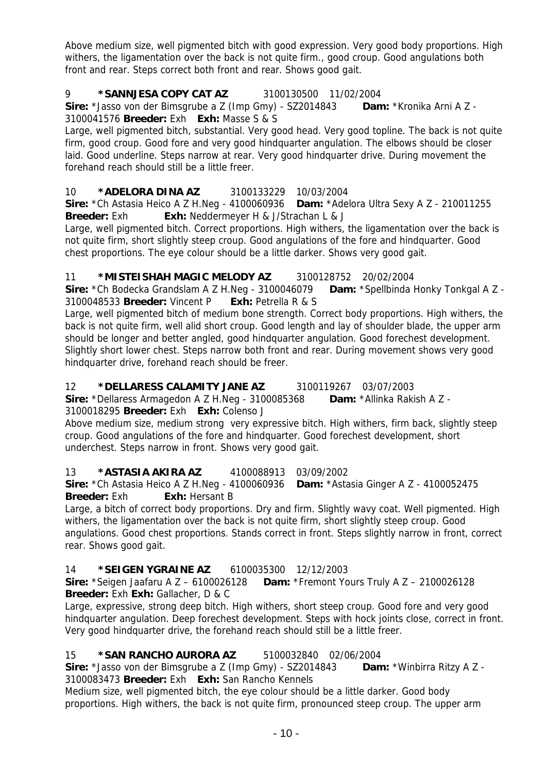Above medium size, well pigmented bitch with good expression. Very good body proportions. High withers, the ligamentation over the back is not quite firm., good croup. Good angulations both front and rear. Steps correct both front and rear. Shows good gait.

# 9 **\*SANNJESA COPY CAT AZ** 3100130500 11/02/2004

**Sire:** \*Jasso von der Bimsgrube a Z (Imp Gmy) - SZ2014843 **Dam:** \*Kronika Arni A Z - 3100041576 **Breeder:** Exh **Exh:** Masse S & S

Large, well pigmented bitch, substantial. Very good head. Very good topline. The back is not quite firm, good croup. Good fore and very good hindquarter angulation. The elbows should be closer laid. Good underline. Steps narrow at rear. Very good hindquarter drive. During movement the forehand reach should still be a little freer.

# 10 **\*ADELORA DINA AZ** 3100133229 10/03/2004

**Sire:** \*Ch Astasia Heico A Z H.Neg - 4100060936 **Dam:** \*Adelora Ultra Sexy A Z - 210011255 **Breeder:** Exh **Exh:** Neddermeyer H & J/Strachan L & J

Large, well pigmented bitch. Correct proportions. High withers, the ligamentation over the back is not quite firm, short slightly steep croup. Good angulations of the fore and hindquarter. Good chest proportions. The eye colour should be a little darker. Shows very good gait.

### 11 **\*MISTEISHAH MAGIC MELODY AZ** 3100128752 20/02/2004

**Sire:** \*Ch Bodecka Grandslam A Z H.Neg - 3100046079 **Dam:** \*Spellbinda Honky Tonkgal A Z - 3100048533 **Breeder:** Vincent P **Exh:** Petrella R & S

Large, well pigmented bitch of medium bone strength. Correct body proportions. High withers, the back is not quite firm, well alid short croup. Good length and lay of shoulder blade, the upper arm should be longer and better angled, good hindquarter angulation. Good forechest development. Slightly short lower chest. Steps narrow both front and rear. During movement shows very good hindquarter drive, forehand reach should be freer.

#### 12 **\*DELLARESS CALAMITY JANE AZ** 3100119267 03/07/2003

**Sire:** \*Dellaress Armagedon A Z H.Neg - 3100085368 **Dam:** \*Allinka Rakish A Z - 3100018295 **Breeder:** Exh **Exh:** Colenso J

Above medium size, medium strong very expressive bitch. High withers, firm back, slightly steep croup. Good angulations of the fore and hindquarter. Good forechest development, short underchest. Steps narrow in front. Shows very good gait.

#### 13 **\*ASTASIA AKIRA AZ** 4100088913 03/09/2002

**Sire:** \*Ch Astasia Heico A Z H.Neg - 4100060936 **Dam:** \*Astasia Ginger A Z - 4100052475 **Breeder:** Exh **Exh:** Hersant B

Large, a bitch of correct body proportions. Dry and firm. Slightly wavy coat. Well pigmented. High withers, the ligamentation over the back is not quite firm, short slightly steep croup. Good angulations. Good chest proportions. Stands correct in front. Steps slightly narrow in front, correct rear. Shows good gait.

#### 14 **\*SEIGEN YGRAINE AZ** 6100035300 12/12/2003

**Sire:** \*Seigen Jaafaru A Z – 6100026128 **Dam:** \*Fremont Yours Truly A Z – 2100026128 **Breeder:** Exh **Exh:** Gallacher, D & C

Large, expressive, strong deep bitch. High withers, short steep croup. Good fore and very good hindquarter angulation. Deep forechest development. Steps with hock joints close, correct in front. Very good hindquarter drive, the forehand reach should still be a little freer.

# 15 **\*SAN RANCHO AURORA AZ** 5100032840 02/06/2004

**Sire:** \*Jasso von der Bimsgrube a Z (Imp Gmy) - SZ2014843 **Dam:** \*Winbirra Ritzy A Z - 3100083473 **Breeder:** Exh **Exh:** San Rancho Kennels

Medium size, well pigmented bitch, the eye colour should be a little darker. Good body proportions. High withers, the back is not quite firm, pronounced steep croup. The upper arm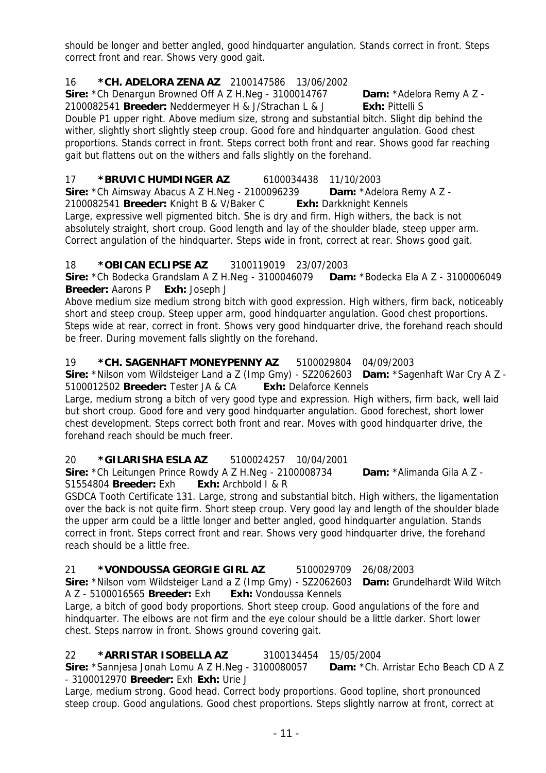should be longer and better angled, good hindquarter angulation. Stands correct in front. Steps correct front and rear. Shows very good gait.

# 16 **\*CH. ADELORA ZENA AZ** 2100147586 13/06/2002

**Sire:** \*Ch Denargun Browned Off A Z H.Neg - 3100014767 **Dam:** \*Adelora Remy A Z -

2100082541 **Breeder:** Neddermeyer H & J/Strachan L & J **Exh:** Pittelli S Double P1 upper right. Above medium size, strong and substantial bitch. Slight dip behind the wither, slightly short slightly steep croup. Good fore and hindquarter angulation. Good chest proportions. Stands correct in front. Steps correct both front and rear. Shows good far reaching gait but flattens out on the withers and falls slightly on the forehand.

17 **\*BRUVIC HUMDINGER AZ** 6100034438 11/10/2003

**Sire:** \*Ch Aimsway Abacus A Z H.Neg - 2100096239 **Dam:** \*Adelora Remy A Z - 2100082541 **Breeder:** Knight B & V/Baker C **Exh:** Darkknight Kennels Large, expressive well pigmented bitch. She is dry and firm. High withers, the back is not absolutely straight, short croup. Good length and lay of the shoulder blade, steep upper arm. Correct angulation of the hindquarter. Steps wide in front, correct at rear. Shows good gait.

# 18 **\*OBICAN ECLIPSE AZ** 3100119019 23/07/2003

**Sire:** \*Ch Bodecka Grandslam A Z H.Neg - 3100046079 **Dam:** \*Bodecka Ela A Z - 3100006049 **Breeder:** Aarons P **Exh:** Joseph J

Above medium size medium strong bitch with good expression. High withers, firm back, noticeably short and steep croup. Steep upper arm, good hindquarter angulation. Good chest proportions. Steps wide at rear, correct in front. Shows very good hindquarter drive, the forehand reach should be freer. During movement falls slightly on the forehand.

# 19 **\*CH. SAGENHAFT MONEYPENNY AZ** 5100029804 04/09/2003

**Sire:** \*Nilson vom Wildsteiger Land a Z (Imp Gmy) - SZ2062603 **Dam:** \*Sagenhaft War Cry A Z - 5100012502 **Breeder:** Tester JA & CA **Exh:** Delaforce Kennels

Large, medium strong a bitch of very good type and expression. High withers, firm back, well laid but short croup. Good fore and very good hindquarter angulation. Good forechest, short lower chest development. Steps correct both front and rear. Moves with good hindquarter drive, the forehand reach should be much freer.

# 20 **\*GILARISHA ESLA AZ** 5100024257 10/04/2001

**Sire:** \*Ch Leitungen Prince Rowdy A Z H.Neg - 2100008734 **Dam:** \*Alimanda Gila A Z - S1554804 **Breeder:** Exh **Exh:** Archbold I & R

GSDCA Tooth Certificate 131. Large, strong and substantial bitch. High withers, the ligamentation over the back is not quite firm. Short steep croup. Very good lay and length of the shoulder blade the upper arm could be a little longer and better angled, good hindquarter angulation. Stands correct in front. Steps correct front and rear. Shows very good hindquarter drive, the forehand reach should be a little free.

#### 21 **\*VONDOUSSA GEORGIE GIRL AZ** 5100029709 26/08/2003 **Sire:** \*Nilson vom Wildsteiger Land a Z (Imp Gmy) - SZ2062603 **Dam:** Grundelhardt Wild Witch A Z - 5100016565 **Breeder:** Exh **Exh:** Vondoussa Kennels

Large, a bitch of good body proportions. Short steep croup. Good angulations of the fore and hindquarter. The elbows are not firm and the eye colour should be a little darker. Short lower chest. Steps narrow in front. Shows ground covering gait.

# 22 **\*ARRISTAR ISOBELLA AZ** 3100134454 15/05/2004

**Sire:** \*Sannjesa Jonah Lomu A Z H.Neg - 3100080057 **Dam:** \*Ch. Arristar Echo Beach CD A Z - 3100012970 **Breeder:** Exh **Exh:** Urie J

Large, medium strong. Good head. Correct body proportions. Good topline, short pronounced steep croup. Good angulations. Good chest proportions. Steps slightly narrow at front, correct at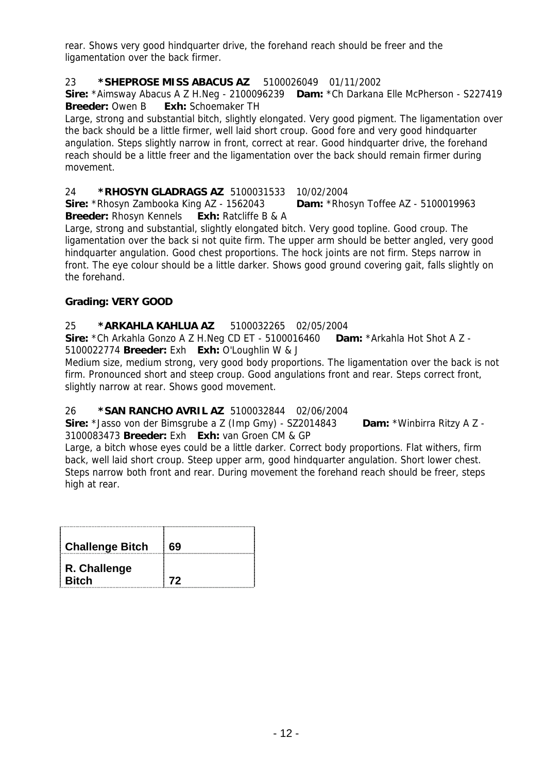rear. Shows very good hindquarter drive, the forehand reach should be freer and the ligamentation over the back firmer.

# 23 **\*SHEPROSE MISS ABACUS AZ** 5100026049 01/11/2002

**Sire:** \*Aimsway Abacus A Z H.Neg - 2100096239 **Dam:** \*Ch Darkana Elle McPherson - S227419 **Breeder:** Owen B **Exh:** Schoemaker TH

Large, strong and substantial bitch, slightly elongated. Very good pigment. The ligamentation over the back should be a little firmer, well laid short croup. Good fore and very good hindquarter angulation. Steps slightly narrow in front, correct at rear. Good hindquarter drive, the forehand reach should be a little freer and the ligamentation over the back should remain firmer during movement.

# 24 **\*RHOSYN GLADRAGS AZ** 5100031533 10/02/2004

**Sire:** \*Rhosyn Zambooka King AZ - 1562043 **Dam:** \*Rhosyn Toffee AZ - 5100019963 **Breeder:** Rhosyn Kennels **Exh:** Ratcliffe B & A

Large, strong and substantial, slightly elongated bitch. Very good topline. Good croup. The ligamentation over the back si not quite firm. The upper arm should be better angled, very good hindquarter angulation. Good chest proportions. The hock joints are not firm. Steps narrow in front. The eye colour should be a little darker. Shows good ground covering gait, falls slightly on the forehand.

# **Grading: VERY GOOD**

# 25 **\*ARKAHLA KAHLUA AZ** 5100032265 02/05/2004

**Sire:** \*Ch Arkahla Gonzo A Z H.Neg CD ET - 5100016460 **Dam:** \*Arkahla Hot Shot A Z - 5100022774 **Breeder:** Exh **Exh:** O'Loughlin W & J

Medium size, medium strong, very good body proportions. The ligamentation over the back is not firm. Pronounced short and steep croup. Good angulations front and rear. Steps correct front, slightly narrow at rear. Shows good movement.

# 26 **\*SAN RANCHO AVRIL AZ** 5100032844 02/06/2004

**Sire:** \*Jasso von der Bimsgrube a Z (Imp Gmy) - SZ2014843 **Dam:** \*Winbirra Ritzy A Z - 3100083473 **Breeder:** Exh **Exh:** van Groen CM & GP

Large, a bitch whose eyes could be a little darker. Correct body proportions. Flat withers, firm back, well laid short croup. Steep upper arm, good hindquarter angulation. Short lower chest. Steps narrow both front and rear. During movement the forehand reach should be freer, steps high at rear.

| <b>Challenge Bitch</b>       | rα |
|------------------------------|----|
| R. Challenge<br><b>Bitch</b> | 72 |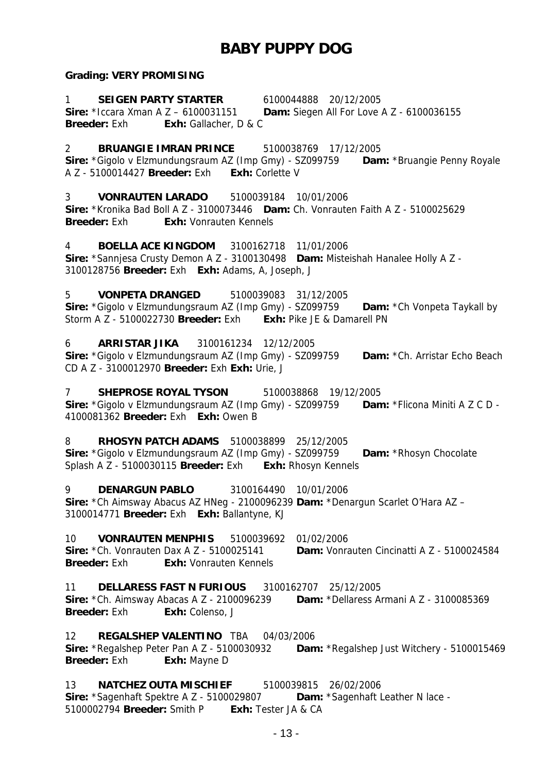# **BABY PUPPY DOG**

#### **Grading: VERY PROMISING**

1 **SEIGEN PARTY STARTER** 6100044888 20/12/2005 **Sire:** \*Iccara Xman A Z – 6100031151 **Dam:** Siegen All For Love A Z - 6100036155 **Breeder:** Exh **Exh:** Gallacher, D & C

2 **BRUANGIE IMRAN PRINCE** 5100038769 17/12/2005

**Sire:** \*Gigolo v Elzmundungsraum AZ (Imp Gmy) - SZ099759 **Dam:** \*Bruangie Penny Royale A Z - 5100014427 **Breeder:** Exh **Exh:** Corlette V

3 **VONRAUTEN LARADO** 5100039184 10/01/2006 **Sire:** \*Kronika Bad Boll A Z - 3100073446 **Dam:** Ch. Vonrauten Faith A Z - 5100025629 **Breeder:** Exh: Vonrauten Kennels

4 **BOELLA ACE KINGDOM** 3100162718 11/01/2006 **Sire:** \*Sannjesa Crusty Demon A Z - 3100130498 **Dam:** Misteishah Hanalee Holly A Z - 3100128756 **Breeder:** Exh **Exh:** Adams, A, Joseph, J

5 **VONPETA DRANGED** 5100039083 31/12/2005 **Sire:** \*Gigolo v Elzmundungsraum AZ (Imp Gmy) - SZ099759 **Dam:** \*Ch Vonpeta Taykall by Storm A Z - 5100022730 **Breeder:** Exh **Exh:** Pike JE & Damarell PN

6 **ARRISTAR JIKA** 3100161234 12/12/2005 **Sire:** \*Gigolo v Elzmundungsraum AZ (Imp Gmy) - SZ099759 **Dam:** \*Ch. Arristar Echo Beach CD A Z - 3100012970 **Breeder:** Exh **Exh:** Urie, J

7 **SHEPROSE ROYAL TYSON** 5100038868 19/12/2005 **Sire:** \*Gigolo v Elzmundungsraum AZ (Imp Gmy) - SZ099759 **Dam:** \*Flicona Miniti A Z C D - 4100081362 **Breeder:** Exh **Exh:** Owen B

8 **RHOSYN PATCH ADAMS** 5100038899 25/12/2005 **Sire:** \*Gigolo v Elzmundungsraum AZ (Imp Gmy) - SZ099759 **Dam:** \*Rhosyn Chocolate Splash A Z - 5100030115 **Breeder:** Exh **Exh:** Rhosyn Kennels

9 **DENARGUN PABLO** 3100164490 10/01/2006 **Sire:** \*Ch Aimsway Abacus AZ HNeg - 2100096239 **Dam:** \*Denargun Scarlet O'Hara AZ – 3100014771 **Breeder:** Exh **Exh:** Ballantyne, KJ

10 **VONRAUTEN MENPHIS** 5100039692 01/02/2006 **Sire:** \*Ch. Vonrauten Dax A Z - 5100025141 **Dam:** Vonrauten Cincinatti A Z - 5100024584 **Breeder:** Exh **Exh:** Vonrauten Kennels

11 **DELLARESS FAST N FURIOUS** 3100162707 25/12/2005 **Sire:** \*Ch. Aimsway Abacas A Z - 2100096239 **Dam:** \*Dellaress Armani A Z - 3100085369 **Breeder:** Exh **Exh:** Colenso, J

12 **REGALSHEP VALENTINO** TBA 04/03/2006 **Sire:** \*Regalshep Peter Pan A Z - 5100030932 **Dam:** \*Regalshep Just Witchery - 5100015469 **Breeder:** Exh **Exh:** Mayne D

13 **NATCHEZ OUTA MISCHIEF** 5100039815 26/02/2006 **Sire:** \*Sagenhaft Spektre A Z - 5100029807 **Dam:** \*Sagenhaft Leather N lace - 5100002794 **Breeder:** Smith P **Exh:** Tester JA & CA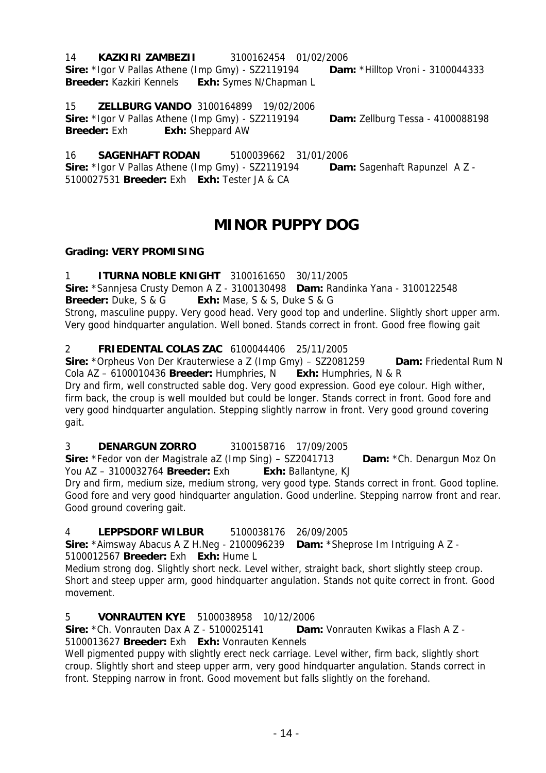#### 14 **KAZKIRI ZAMBEZII** 3100162454 01/02/2006

**Sire:** \*Igor V Pallas Athene (Imp Gmy) - SZ2119194 **Dam:** \*Hilltop Vroni - 3100044333 **Breeder:** Kazkiri Kennels **Exh:** Symes N/Chapman L

# 15 **ZELLBURG VANDO** 3100164899 19/02/2006

**Sire:** \*Igor V Pallas Athene (Imp Gmy) - SZ2119194 **Dam:** Zellburg Tessa - 4100088198 **Breeder:** Exh **Exh:** Sheppard AW

16 **SAGENHAFT RODAN** 5100039662 31/01/2006 **Sire:** \*Igor V Pallas Athene (Imp Gmy) - SZ2119194 **Dam:** Sagenhaft Rapunzel A Z - 5100027531 **Breeder:** Exh **Exh:** Tester JA & CA

# **MINOR PUPPY DOG**

# **Grading: VERY PROMISING**

# 1 **ITURNA NOBLE KNIGHT** 3100161650 30/11/2005

**Sire:** \*Sannjesa Crusty Demon A Z - 3100130498 **Dam:** Randinka Yana - 3100122548 **Breeder:** Duke, S & G **Exh:** Mase, S & S, Duke S & G

Strong, masculine puppy. Very good head. Very good top and underline. Slightly short upper arm. Very good hindquarter angulation. Well boned. Stands correct in front. Good free flowing gait

### 2 **FRIEDENTAL COLAS ZAC** 6100044406 25/11/2005

**Sire:** \*Orpheus Von Der Krauterwiese a Z (Imp Gmy) – SZ2081259 **Dam:** Friedental Rum N Cola AZ – 6100010436 **Breeder:** Humphries, N **Exh:** Humphries, N & R Dry and firm, well constructed sable dog. Very good expression. Good eye colour. High wither, firm back, the croup is well moulded but could be longer. Stands correct in front. Good fore and very good hindquarter angulation. Stepping slightly narrow in front. Very good ground covering gait.

# 3 **DENARGUN ZORRO** 3100158716 17/09/2005

**Sire:** \*Fedor von der Magistrale aZ (Imp Sing) – SZ2041713 **Dam:** \*Ch. Denargun Moz On You AZ – 3100032764 **Breeder:** Exh **Exh:** Ballantyne, KJ

Dry and firm, medium size, medium strong, very good type. Stands correct in front. Good topline. Good fore and very good hindquarter angulation. Good underline. Stepping narrow front and rear. Good ground covering gait.

# 4 **LEPPSDORF WILBUR** 5100038176 26/09/2005

**Sire:** \*Aimsway Abacus A Z H.Neg - 2100096239 **Dam:** \*Sheprose Im Intriguing A Z - 5100012567 **Breeder:** Exh **Exh:** Hume L

Medium strong dog. Slightly short neck. Level wither, straight back, short slightly steep croup. Short and steep upper arm, good hindquarter angulation. Stands not quite correct in front. Good movement.

# 5 **VONRAUTEN KYE** 5100038958 10/12/2006

**Sire:** \*Ch. Vonrauten Dax A Z - 5100025141 **Dam:** Vonrauten Kwikas a Flash A Z - 5100013627 **Breeder:** Exh **Exh:** Vonrauten Kennels

Well pigmented puppy with slightly erect neck carriage. Level wither, firm back, slightly short croup. Slightly short and steep upper arm, very good hindquarter angulation. Stands correct in front. Stepping narrow in front. Good movement but falls slightly on the forehand.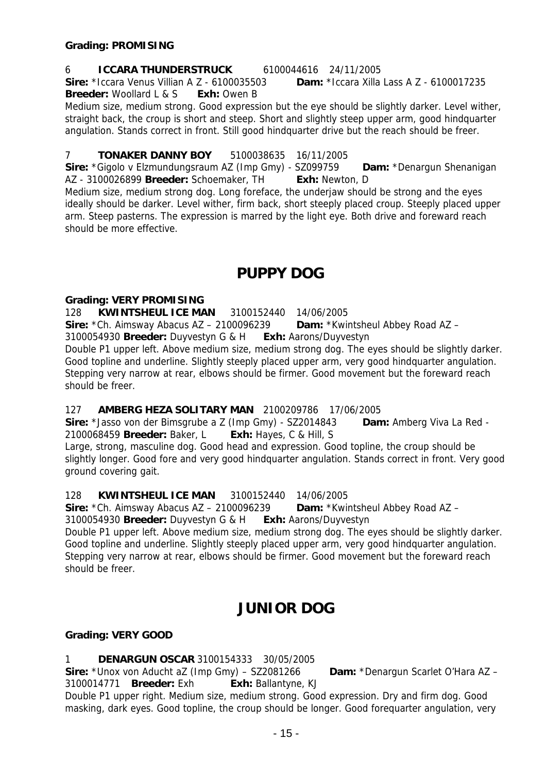6 **ICCARA THUNDERSTRUCK** 6100044616 24/11/2005 **Sire:** \*Iccara Venus Villian A Z - 6100035503 **Dam:** \*Iccara Xilla Lass A Z - 6100017235 **Breeder:** Woollard L & S **Exh:** Owen B

Medium size, medium strong. Good expression but the eye should be slightly darker. Level wither, straight back, the croup is short and steep. Short and slightly steep upper arm, good hindquarter angulation. Stands correct in front. Still good hindquarter drive but the reach should be freer.

### 7 **TONAKER DANNY BOY** 5100038635 16/11/2005

**Sire:** \*Gigolo v Elzmundungsraum AZ (Imp Gmy) - SZ099759 **Dam:** \*Denargun Shenanigan AZ - 3100026899 **Breeder:** Schoemaker, TH **Exh:** Newton, D

Medium size, medium strong dog. Long foreface, the underjaw should be strong and the eyes ideally should be darker. Level wither, firm back, short steeply placed croup. Steeply placed upper arm. Steep pasterns. The expression is marred by the light eye. Both drive and foreward reach should be more effective.

# **PUPPY DOG**

#### **Grading: VERY PROMISING**

128 **KWINTSHEUL ICE MAN** 3100152440 14/06/2005

**Sire:** \*Ch. Aimsway Abacus AZ – 2100096239 **Dam:** \*Kwintsheul Abbey Road AZ –

3100054930 **Breeder:** Duyvestyn G & H **Exh:** Aarons/Duyvestyn

Double P1 upper left. Above medium size, medium strong dog. The eyes should be slightly darker. Good topline and underline. Slightly steeply placed upper arm, very good hindquarter angulation. Stepping very narrow at rear, elbows should be firmer. Good movement but the foreward reach should be freer.

#### 127 **AMBERG HEZA SOLITARY MAN** 2100209786 17/06/2005

**Sire:** \*Jasso von der Bimsgrube a Z (Imp Gmy) - SZ2014843 **Dam:** Amberg Viva La Red - 2100068459 **Breeder:** Baker, L **Exh:** Hayes, C & Hill, S

Large, strong, masculine dog. Good head and expression. Good topline, the croup should be slightly longer. Good fore and very good hindquarter angulation. Stands correct in front. Very good ground covering gait.

128 **KWINTSHEUL ICE MAN** 3100152440 14/06/2005

**Sire:** \*Ch. Aimsway Abacus AZ – 2100096239 **Dam:** \*Kwintsheul Abbey Road AZ –

3100054930 **Breeder:** Duyvestyn G & H **Exh:** Aarons/Duyvestyn

Double P1 upper left. Above medium size, medium strong dog. The eyes should be slightly darker. Good topline and underline. Slightly steeply placed upper arm, very good hindquarter angulation. Stepping very narrow at rear, elbows should be firmer. Good movement but the foreward reach should be freer.

# **JUNIOR DOG**

#### **Grading: VERY GOOD**

1 **DENARGUN OSCAR** 3100154333 30/05/2005

**Sire:** \*Unox von Aducht aZ (Imp Gmy) – SZ2081266 **Dam:** \*Denargun Scarlet O'Hara AZ –

3100014771 **Breeder:** Exh **Exh:** Ballantyne, KJ

Double P1 upper right. Medium size, medium strong. Good expression. Dry and firm dog. Good masking, dark eyes. Good topline, the croup should be longer. Good forequarter angulation, very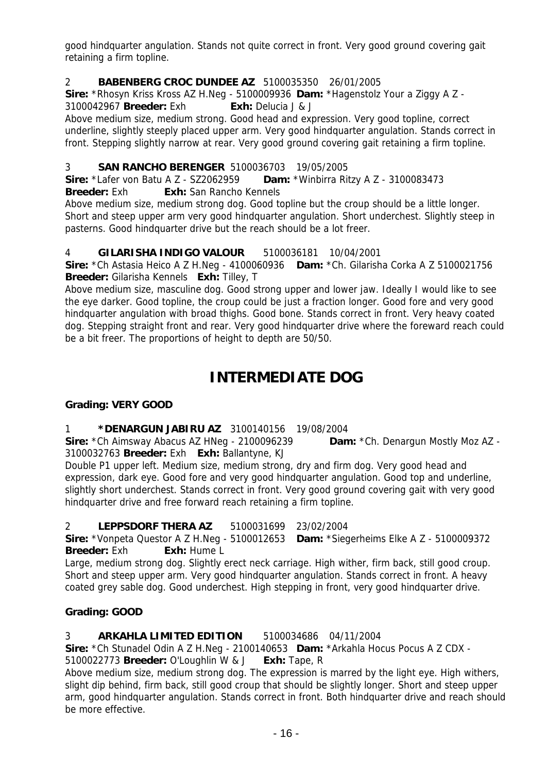good hindquarter angulation. Stands not quite correct in front. Very good ground covering gait retaining a firm topline.

# 2 **BABENBERG CROC DUNDEE AZ** 5100035350 26/01/2005

**Sire:** \*Rhosyn Kriss Kross AZ H.Neg - 5100009936 **Dam:** \*Hagenstolz Your a Ziggy A Z - 3100042967 **Breeder:** Exh **Exh:** Delucia J & J

Above medium size, medium strong. Good head and expression. Very good topline, correct underline, slightly steeply placed upper arm. Very good hindquarter angulation. Stands correct in front. Stepping slightly narrow at rear. Very good ground covering gait retaining a firm topline.

#### 3 **SAN RANCHO BERENGER** 5100036703 19/05/2005

**Sire:** \*Lafer von Batu A Z - SZ2062959 **Dam:** \*Winbirra Ritzy A Z - 3100083473 **Breeder:** Exh **Exh:** San Rancho Kennels

Above medium size, medium strong dog. Good topline but the croup should be a little longer. Short and steep upper arm very good hindquarter angulation. Short underchest. Slightly steep in pasterns. Good hindquarter drive but the reach should be a lot freer.

#### 4 **GILARISHA INDIGO VALOUR** 5100036181 10/04/2001

**Sire:** \*Ch Astasia Heico A Z H.Neg - 4100060936 **Dam:** \*Ch. Gilarisha Corka A Z 5100021756 **Breeder:** Gilarisha Kennels **Exh:** Tilley, T

Above medium size, masculine dog. Good strong upper and lower jaw. Ideally I would like to see the eye darker. Good topline, the croup could be just a fraction longer. Good fore and very good hindquarter angulation with broad thighs. Good bone. Stands correct in front. Very heavy coated dog. Stepping straight front and rear. Very good hindquarter drive where the foreward reach could be a bit freer. The proportions of height to depth are 50/50.

# **INTERMEDIATE DOG**

#### **Grading: VERY GOOD**

#### 1 **\*DENARGUN JABIRU AZ** 3100140156 19/08/2004

**Sire:** \*Ch Aimsway Abacus AZ HNeg - 2100096239 **Dam:** \*Ch. Denargun Mostly Moz AZ - 3100032763 **Breeder:** Exh **Exh:** Ballantyne, KJ

Double P1 upper left. Medium size, medium strong, dry and firm dog. Very good head and expression, dark eye. Good fore and very good hindquarter angulation. Good top and underline, slightly short underchest. Stands correct in front. Very good ground covering gait with very good hindquarter drive and free forward reach retaining a firm topline.

#### 2 **LEPPSDORF THERA AZ** 5100031699 23/02/2004

**Sire:** \*Vonpeta Questor A Z H.Neg - 5100012653 **Dam:** \*Siegerheims Elke A Z - 5100009372 **Breeder:** Exh **Exh:** Hume L

Large, medium strong dog. Slightly erect neck carriage. High wither, firm back, still good croup. Short and steep upper arm. Very good hindquarter angulation. Stands correct in front. A heavy coated grey sable dog. Good underchest. High stepping in front, very good hindquarter drive.

#### **Grading: GOOD**

#### 3 **ARKAHLA LIMITED EDITION** 5100034686 04/11/2004

**Sire:** \*Ch Stunadel Odin A Z H.Neg - 2100140653 **Dam:** \*Arkahla Hocus Pocus A Z CDX -

5100022773 **Breeder:** O'Loughlin W & J **Exh:** Tape, R

Above medium size, medium strong dog. The expression is marred by the light eye. High withers, slight dip behind, firm back, still good croup that should be slightly longer. Short and steep upper arm, good hindquarter angulation. Stands correct in front. Both hindquarter drive and reach should be more effective.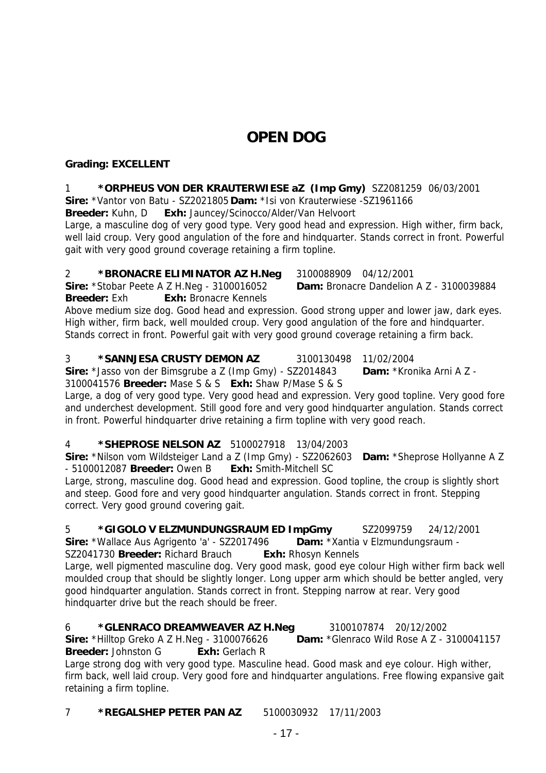# **OPEN DOG**

# **Grading: EXCELLENT**

#### 1 **\*ORPHEUS VON DER KRAUTERWIESE aZ (Imp Gmy)** SZ2081259 06/03/2001

**Sire:** \*Vantor von Batu - SZ2021805 **Dam:** \*Isi von Krauterwiese -SZ1961166

**Breeder:** Kuhn, D **Exh:** Jauncey/Scinocco/Alder/Van Helvoort

Large, a masculine dog of very good type. Very good head and expression. High wither, firm back, well laid croup. Very good angulation of the fore and hindquarter. Stands correct in front. Powerful gait with very good ground coverage retaining a firm topline.

### 2 **\*BRONACRE ELIMINATOR AZ H.Neg** 3100088909 04/12/2001

**Sire:** \*Stobar Peete A Z H.Neg - 3100016052 **Dam:** Bronacre Dandelion A Z - 3100039884 **Breeder:** Exh **Exh:** Bronacre Kennels

Above medium size dog. Good head and expression. Good strong upper and lower jaw, dark eyes. High wither, firm back, well moulded croup. Very good angulation of the fore and hindquarter. Stands correct in front. Powerful gait with very good ground coverage retaining a firm back.

#### 3 **\*SANNJESA CRUSTY DEMON AZ** 3100130498 11/02/2004

**Sire:** \*Jasso von der Bimsgrube a Z (Imp Gmy) - SZ2014843 **Dam:** \*Kronika Arni A Z - 3100041576 **Breeder:** Mase S & S **Exh:** Shaw P/Mase S & S

Large, a dog of very good type. Very good head and expression. Very good topline. Very good fore and underchest development. Still good fore and very good hindquarter angulation. Stands correct in front. Powerful hindquarter drive retaining a firm topline with very good reach.

#### 4 **\*SHEPROSE NELSON AZ** 5100027918 13/04/2003

**Sire:** \*Nilson vom Wildsteiger Land a Z (Imp Gmy) - SZ2062603 **Dam:** \*Sheprose Hollyanne A Z - 5100012087 **Breeder:** Owen B **Exh:** Smith-Mitchell SC

Large, strong, masculine dog. Good head and expression. Good topline, the croup is slightly short and steep. Good fore and very good hindquarter angulation. Stands correct in front. Stepping correct. Very good ground covering gait.

# 5 **\*GIGOLO V ELZMUNDUNGSRAUM ED ImpGmy** SZ2099759 24/12/2001

**Sire:** \*Wallace Aus Agrigento 'a' - SZ2017496 **Dam:** \*Xantia v Elzmundungsraum -

SZ2041730 **Breeder:** Richard Brauch **Exh:** Rhosyn Kennels

Large, well pigmented masculine dog. Very good mask, good eye colour High wither firm back well moulded croup that should be slightly longer. Long upper arm which should be better angled, very good hindquarter angulation. Stands correct in front. Stepping narrow at rear. Very good hindquarter drive but the reach should be freer.

# 6 **\*GLENRACO DREAMWEAVER AZ H.Neg** 3100107874 20/12/2002

**Sire:** \*Hilltop Greko A Z H.Neg - 3100076626 **Dam:** \*Glenraco Wild Rose A Z - 3100041157 **Breeder:** Johnston G **Exh:** Gerlach R

Large strong dog with very good type. Masculine head. Good mask and eye colour. High wither, firm back, well laid croup. Very good fore and hindquarter angulations. Free flowing expansive gait retaining a firm topline.

7 **\*REGALSHEP PETER PAN AZ** 5100030932 17/11/2003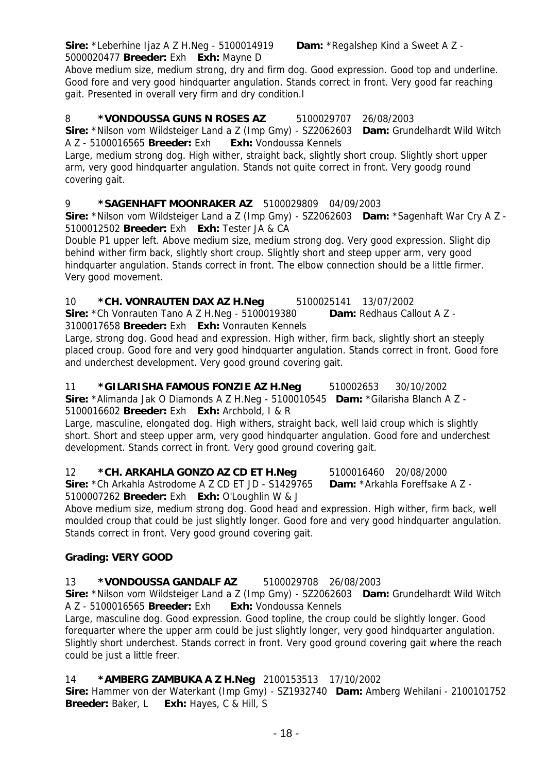**Sire:** \*Leberhine Ijaz A Z H.Neg - 5100014919 **Dam:** \*Regalshep Kind a Sweet A Z - 5000020477 **Breeder:** Exh **Exh:** Mayne D

Above medium size, medium strong, dry and firm dog. Good expression. Good top and underline. Good fore and very good hindquarter angulation. Stands correct in front. Very good far reaching gait. Presented in overall very firm and dry condition.l

# 8 **\*VONDOUSSA GUNS N ROSES AZ** 5100029707 26/08/2003

**Sire:** \*Nilson vom Wildsteiger Land a Z (Imp Gmy) - SZ2062603 **Dam:** Grundelhardt Wild Witch A Z - 5100016565 **Breeder:** Exh **Exh:** Vondoussa Kennels

Large, medium strong dog. High wither, straight back, slightly short croup. Slightly short upper arm, very good hindquarter angulation. Stands not quite correct in front. Very goodg round covering gait.

# 9 **\*SAGENHAFT MOONRAKER AZ** 5100029809 04/09/2003

**Sire:** \*Nilson vom Wildsteiger Land a Z (Imp Gmy) - SZ2062603 **Dam:** \*Sagenhaft War Cry A Z - 5100012502 **Breeder:** Exh **Exh:** Tester JA & CA

Double P1 upper left. Above medium size, medium strong dog. Very good expression. Slight dip behind wither firm back, slightly short croup. Slightly short and steep upper arm, very good hindquarter angulation. Stands correct in front. The elbow connection should be a little firmer. Very good movement.

10 **\*CH. VONRAUTEN DAX AZ H.Neg** 5100025141 13/07/2002

**Sire:** \*Ch Vonrauten Tano A Z H.Neg - 5100019380 **Dam:** Redhaus Callout A Z - 3100017658 **Breeder:** Exh **Exh:** Vonrauten Kennels

Large, strong dog. Good head and expression. High wither, firm back, slightly short an steeply placed croup. Good fore and very good hindquarter angulation. Stands correct in front. Good fore and underchest development. Very good ground covering gait.

11 **\*GILARISHA FAMOUS FONZIE AZ H.Neg** 510002653 30/10/2002 **Sire:** \*Alimanda Jak O Diamonds A Z H.Neg - 5100010545 **Dam:** \*Gilarisha Blanch A Z - 5100016602 **Breeder:** Exh **Exh:** Archbold, I & R

Large, masculine, elongated dog. High withers, straight back, well laid croup which is slightly short. Short and steep upper arm, very good hindquarter angulation. Good fore and underchest development. Stands correct in front. Very good ground covering gait.

12 **\*CH. ARKAHLA GONZO AZ CD ET H.Neg** 5100016460 20/08/2000 **Sire:** \*Ch Arkahla Astrodome A Z CD ET JD - S1429765 **Dam:** \*Arkahla Foreffsake A Z - 5100007262 **Breeder:** Exh **Exh:** O'Loughlin W & J

Above medium size, medium strong dog. Good head and expression. High wither, firm back, well moulded croup that could be just slightly longer. Good fore and very good hindquarter angulation. Stands correct in front. Very good ground covering gait.

# **Grading: VERY GOOD**

# 13 **\*VONDOUSSA GANDALF AZ** 5100029708 26/08/2003

**Sire:** \*Nilson vom Wildsteiger Land a Z (Imp Gmy) - SZ2062603 **Dam:** Grundelhardt Wild Witch A Z - 5100016565 **Breeder:** Exh **Exh:** Vondoussa Kennels

Large, masculine dog. Good expression. Good topline, the croup could be slightly longer. Good forequarter where the upper arm could be just slightly longer, very good hindquarter angulation. Slightly short underchest. Stands correct in front. Very good ground covering gait where the reach could be just a little freer.

# 14 **\*AMBERG ZAMBUKA A Z H.Neg** 2100153513 17/10/2002

**Sire:** Hammer von der Waterkant (Imp Gmy) - SZ1932740 **Dam:** Amberg Wehilani - 2100101752 **Breeder:** Baker, L **Exh:** Hayes, C & Hill, S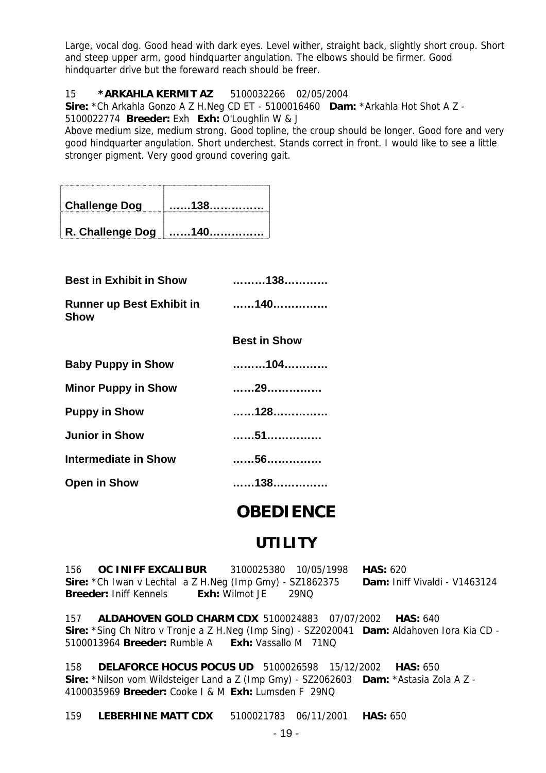Large, vocal dog. Good head with dark eyes. Level wither, straight back, slightly short croup. Short and steep upper arm, good hindquarter angulation. The elbows should be firmer. Good hindquarter drive but the foreward reach should be freer.

#### 15 **\*ARKAHLA KERMIT AZ** 5100032266 02/05/2004

**Sire:** \*Ch Arkahla Gonzo A Z H.Neg CD ET - 5100016460 **Dam:** \*Arkahla Hot Shot A Z - 5100022774 **Breeder:** Exh **Exh:** O'Loughlin W & J

Above medium size, medium strong. Good topline, the croup should be longer. Good fore and very good hindquarter angulation. Short underchest. Stands correct in front. I would like to see a little stronger pigment. Very good ground covering gait.

| <b>Challenge Dog</b>    | . 138.            |
|-------------------------|-------------------|
| <b>R. Challenge Dog</b> | $\frac{1}{2}$ 140 |

| <b>Best in Exhibit in Show</b>                  | 138                 |
|-------------------------------------------------|---------------------|
| <b>Runner up Best Exhibit in</b><br><b>Show</b> | . 140.              |
|                                                 | <b>Best in Show</b> |
| <b>Baby Puppy in Show</b>                       | 104                 |
| <b>Minor Puppy in Show</b>                      | 29                  |
| <b>Puppy in Show</b>                            | 128                 |
| <b>Junior in Show</b>                           | 51                  |
| <b>Intermediate in Show</b>                     | 56                  |
| <b>Open in Show</b>                             | 138                 |

# **OBEDIENCE**

# **UTILITY**

156 **OC INIFF EXCALIBUR** 3100025380 10/05/1998 **HAS:** 620 **Sire:** \*Ch Iwan v Lechtal a Z H.Neg (Imp Gmy) - SZ1862375 **Dam:** Iniff Vivaldi - V1463124 **Breeder:** Iniff Kennels **Exh:** Wilmot JE 29NQ

157 **ALDAHOVEN GOLD CHARM CDX** 5100024883 07/07/2002 **HAS:** 640 **Sire:** \*Sing Ch Nitro v Tronje a Z H.Neg (Imp Sing) - SZ2020041 **Dam:** Aldahoven Iora Kia CD - 5100013964 **Breeder:** Rumble A **Exh:** Vassallo M 71NQ

158 **DELAFORCE HOCUS POCUS UD** 5100026598 15/12/2002 **HAS:** 650 **Sire:** \*Nilson vom Wildsteiger Land a Z (Imp Gmy) - SZ2062603 **Dam:** \*Astasia Zola A Z - 4100035969 **Breeder:** Cooke I & M **Exh:** Lumsden F 29NQ

159 **LEBERHINE MATT CDX** 5100021783 06/11/2001 **HAS:** 650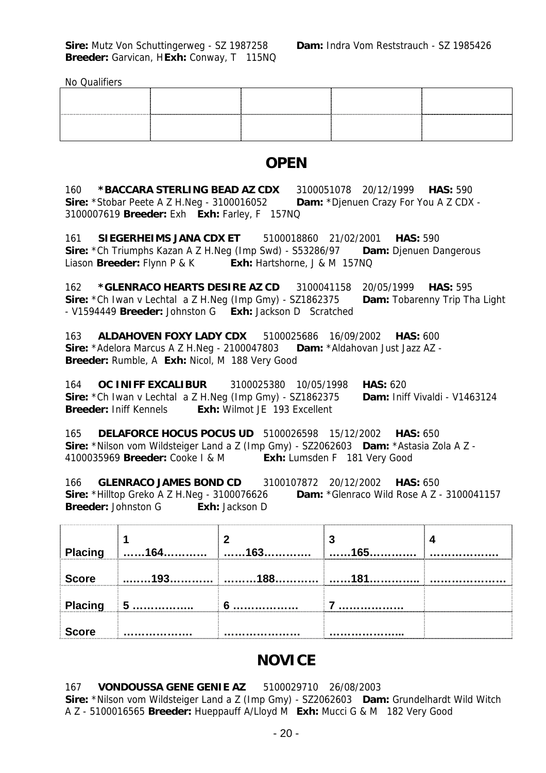No Qualifiers

|  | ----------------- |  |
|--|-------------------|--|

# **OPEN**

160 **\*BACCARA STERLING BEAD AZ CDX** 3100051078 20/12/1999 **HAS:** 590 **Sire:** \*Stobar Peete A Z H.Neg - 3100016052 **Dam:** \*Djenuen Crazy For You A Z CDX - 3100007619 **Breeder:** Exh **Exh:** Farley, F 157NQ

161 **SIEGERHEIMS JANA CDX ET** 5100018860 21/02/2001 **HAS:** 590 **Sire:** \*Ch Triumphs Kazan A Z H.Neg (Imp Swd) - S53286/97 **Dam:** Djenuen Dangerous Liason **Breeder:** Flynn P & K **Exh:** Hartshorne, J & M 157NQ

162 **\*GLENRACO HEARTS DESIRE AZ CD** 3100041158 20/05/1999 **HAS:** 595 **Sire:** \*Ch Iwan v Lechtal a Z H.Neg (Imp Gmy) - SZ1862375 **Dam:** Tobarenny Trip Tha Light - V1594449 **Breeder:** Johnston G **Exh:** Jackson D Scratched

163 **ALDAHOVEN FOXY LADY CDX** 5100025686 16/09/2002 **HAS:** 600 **Sire:** \*Adelora Marcus A Z H.Neg - 2100047803 **Dam:** \*Aldahovan Just Jazz AZ - **Breeder:** Rumble, A **Exh:** Nicol, M 188 Very Good

164 **OC INIFF EXCALIBUR** 3100025380 10/05/1998 **HAS:** 620 **Sire:** \*Ch Iwan v Lechtal a Z H.Neg (Imp Gmy) - SZ1862375 **Dam:** Iniff Vivaldi - V1463124 **Breeder:** Iniff Kennels **Exh:** Wilmot JE 193 Excellent

165 **DELAFORCE HOCUS POCUS UD** 5100026598 15/12/2002 **HAS:** 650 **Sire:** \*Nilson vom Wildsteiger Land a Z (Imp Gmy) - SZ2062603 **Dam:** \*Astasia Zola A Z - 4100035969 **Breeder:** Cooke I & M **Exh:** Lumsden F 181 Very Good

166 **GLENRACO JAMES BOND CD** 3100107872 20/12/2002 **HAS:** 650 **Sire:** \*Hilltop Greko A Z H.Neg - 3100076626 **Dam:** \*Glenraco Wild Rose A Z - 3100041157 **Breeder:** Johnston G **Exh:** Jackson D

|              | Placing $\Big $ 164 | 162 | ٠J<br>4C <sub>E</sub> |  |
|--------------|---------------------|-----|-----------------------|--|
| <b>Score</b> | 193.<br>.           | 188 | . 181                 |  |
| Placing      | $\blacksquare$ 5    |     |                       |  |
| <b>Score</b> |                     |     |                       |  |

# **NOVICE**

#### 167 **VONDOUSSA GENE GENIE AZ** 5100029710 26/08/2003

**Sire:** \*Nilson vom Wildsteiger Land a Z (Imp Gmy) - SZ2062603 **Dam:** Grundelhardt Wild Witch A Z - 5100016565 **Breeder:** Hueppauff A/Lloyd M **Exh:** Mucci G & M 182 Very Good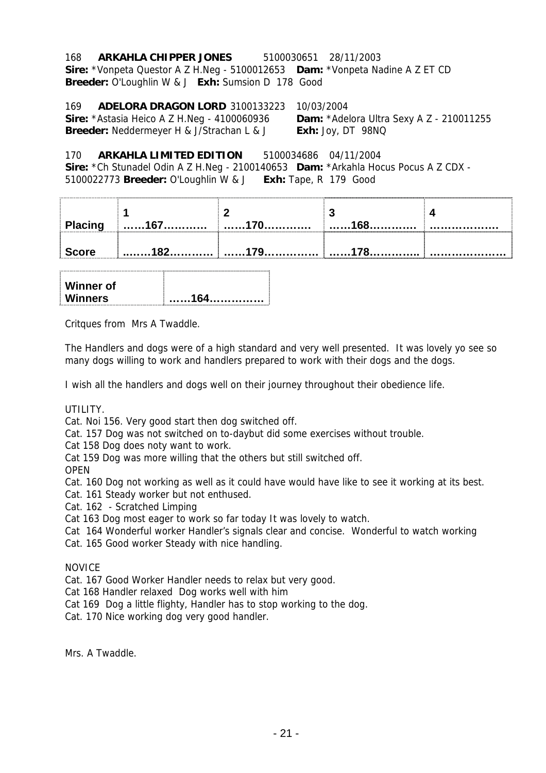#### 168 **ARKAHLA CHIPPER JONES** 5100030651 28/11/2003

**Sire:** \*Vonpeta Questor A Z H.Neg - 5100012653 **Dam:** \*Vonpeta Nadine A Z ET CD **Breeder:** O'Loughlin W & J **Exh:** Sumsion D 178 Good

169 **ADELORA DRAGON LORD** 3100133223 10/03/2004 **Sire:** \*Astasia Heico A Z H.Neg - 4100060936 **Dam:** \*Adelora Ultra Sexy A Z - 210011255 **Breeder:** Neddermeyer H & J/Strachan L & J **Exh:** Joy, DT 98NQ

170 **ARKAHLA LIMITED EDITION** 5100034686 04/11/2004 **Sire:** \*Ch Stunadel Odin A Z H.Neg - 2100140653 **Dam:** \*Arkahla Hocus Pocus A Z CDX -

5100022773 **Breeder:** O'Loughlin W & J **Exh:** Tape, R 179 Good

| <b>Placing</b> |  |  |
|----------------|--|--|
| <b>Score</b>   |  |  |

| <b>Winners</b> | . 164. |
|----------------|--------|
| Winner of      |        |

Critques from Mrs A Twaddle.

The Handlers and dogs were of a high standard and very well presented. It was lovely yo see so many dogs willing to work and handlers prepared to work with their dogs and the dogs.

I wish all the handlers and dogs well on their journey throughout their obedience life.

UTILITY.

Cat. Noi 156. Very good start then dog switched off.

Cat. 157 Dog was not switched on to-daybut did some exercises without trouble.

Cat 158 Dog does noty want to work.

Cat 159 Dog was more willing that the others but still switched off.

OPEN

Cat. 160 Dog not working as well as it could have would have like to see it working at its best.

Cat. 161 Steady worker but not enthused.

Cat. 162 - Scratched Limping

Cat 163 Dog most eager to work so far today It was lovely to watch.

Cat 164 Wonderful worker Handler's signals clear and concise. Wonderful to watch working

Cat. 165 Good worker Steady with nice handling.

NOVICE

Cat. 167 Good Worker Handler needs to relax but very good.

Cat 168 Handler relaxed Dog works well with him

Cat 169 Dog a little flighty, Handler has to stop working to the dog.

Cat. 170 Nice working dog very good handler.

Mrs. A Twaddle.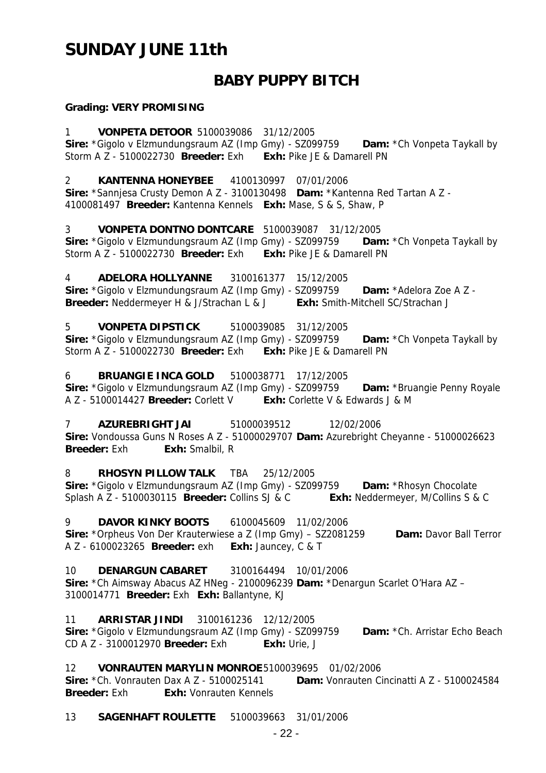# **SUNDAY JUNE 11th**

# **BABY PUPPY BITCH**

#### **Grading: VERY PROMISING**

1 **VONPETA DETOOR** 5100039086 31/12/2005 **Sire:** \*Gigolo v Elzmundungsraum AZ (Imp Gmy) - SZ099759 **Dam:** \*Ch Vonpeta Taykall by Storm A Z - 5100022730 **Breeder:** Exh **Exh:** Pike JE & Damarell PN

2 **KANTENNA HONEYBEE** 4100130997 07/01/2006 **Sire:** \*Sannjesa Crusty Demon A Z - 3100130498 **Dam:** \*Kantenna Red Tartan A Z - 4100081497 **Breeder:** Kantenna Kennels **Exh:** Mase, S & S, Shaw, P

3 **VONPETA DONTNO DONTCARE** 5100039087 31/12/2005 **Sire:** \*Gigolo v Elzmundungsraum AZ (Imp Gmy) - SZ099759 **Dam:** \*Ch Vonpeta Taykall by Storm A Z - 5100022730 **Breeder:** Exh **Exh:** Pike JE & Damarell PN

4 **ADELORA HOLLYANNE** 3100161377 15/12/2005 **Sire:** \*Gigolo v Elzmundungsraum AZ (Imp Gmy) - SZ099759 **Dam:** \*Adelora Zoe A Z - **Breeder:** Neddermeyer H & J/Strachan L & J **Exh:** Smith-Mitchell SC/Strachan J

5 **VONPETA DIPSTICK** 5100039085 31/12/2005 **Sire:** \*Gigolo v Elzmundungsraum AZ (Imp Gmy) - SZ099759 **Dam:** \*Ch Vonpeta Taykall by Storm A Z - 5100022730 **Breeder:** Exh **Exh:** Pike JE & Damarell PN

6 **BRUANGIE INCA GOLD** 5100038771 17/12/2005 **Sire:** \*Gigolo v Elzmundungsraum AZ (Imp Gmy) - SZ099759 **Dam:** \*Bruangie Penny Royale A Z - 5100014427 **Breeder:** Corlett V **Exh:** Corlette V & Edwards J & M

7 **AZUREBRIGHT JAI** 51000039512 12/02/2006 **Sire:** Vondoussa Guns N Roses A Z - 51000029707 **Dam:** Azurebright Cheyanne - 51000026623 **Breeder:** Exh: Exh: Smalbil, R

8 **RHOSYN PILLOW TALK** TBA 25/12/2005 **Sire:** \*Gigolo v Elzmundungsraum AZ (Imp Gmy) - SZ099759 **Dam:** \*Rhosyn Chocolate Splash A Z - 5100030115 **Breeder:** Collins SJ & C **Exh:** Neddermeyer, M/Collins S & C

9 **DAVOR KINKY BOOTS** 6100045609 11/02/2006 **Sire:** \*Orpheus Von Der Krauterwiese a Z (Imp Gmy) – SZ2081259 **Dam:** Davor Ball Terror A Z - 6100023265 **Breeder:** exh **Exh:** Jauncey, C & T

10 **DENARGUN CABARET** 3100164494 10/01/2006 **Sire:** \*Ch Aimsway Abacus AZ HNeg - 2100096239 **Dam:** \*Denargun Scarlet O'Hara AZ – 3100014771 **Breeder:** Exh **Exh:** Ballantyne, KJ

11 **ARRISTAR JINDI** 3100161236 12/12/2005 **Sire:** \*Gigolo v Elzmundungsraum AZ (Imp Gmy) - SZ099759 **Dam:** \*Ch. Arristar Echo Beach CD A Z - 3100012970 **Breeder:** Exh **Exh:** Urie, J

12 **VONRAUTEN MARYLIN MONROE** 5100039695 01/02/2006

**Sire:** \*Ch. Vonrauten Dax A Z - 5100025141 **Dam:** Vonrauten Cincinatti A Z - 5100024584 **Breeder:** Exh **Exh:** Vonrauten Kennels

13 **SAGENHAFT ROULETTE** 5100039663 31/01/2006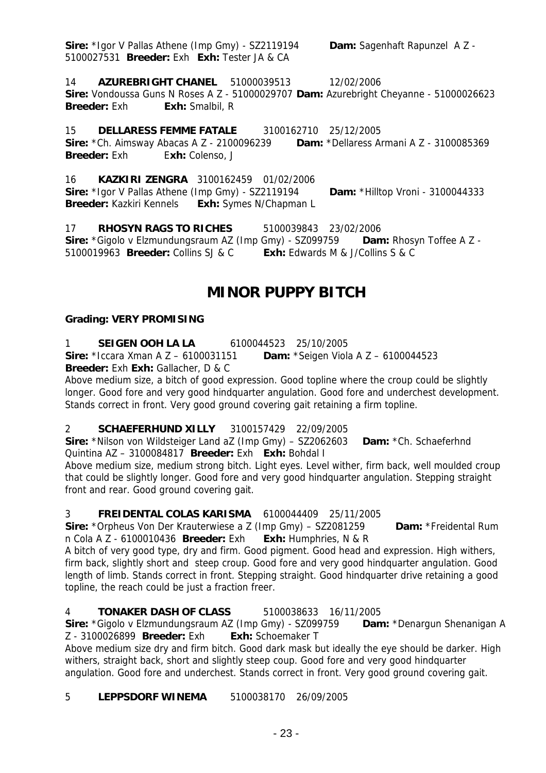**Sire:** \*Igor V Pallas Athene (Imp Gmy) - SZ2119194 **Dam:** Sagenhaft Rapunzel A Z - 5100027531 **Breeder:** Exh **Exh:** Tester JA & CA

14 **AZUREBRIGHT CHANEL** 51000039513 12/02/2006 **Sire:** Vondoussa Guns N Roses A Z - 51000029707 **Dam:** Azurebright Cheyanne - 51000026623 **Breeder:** Exh **Exh:** Smalbil, R

15 **DELLARESS FEMME FATALE** 3100162710 25/12/2005 **Sire:** \*Ch. Aimsway Abacas A Z - 2100096239 **Dam:** \*Dellaress Armani A Z - 3100085369 **Breeder:** Exh Exh: Colenso, J

16 **KAZKIRI ZENGRA** 3100162459 01/02/2006 **Sire:** \*Igor V Pallas Athene (Imp Gmy) - SZ2119194 **Dam:** \*Hilltop Vroni - 3100044333 **Breeder:** Kazkiri Kennels **Exh:** Symes N/Chapman L

17 **RHOSYN RAGS TO RICHES** 5100039843 23/02/2006 **Sire:** \*Gigolo v Elzmundungsraum AZ (Imp Gmy) - SZ099759 **Dam:** Rhosyn Toffee A Z - 5100019963 **Breeder:** Collins SJ & C **Exh:** Edwards M & J/Collins S & C

# **MINOR PUPPY BITCH**

### **Grading: VERY PROMISING**

1 **SEIGEN OOH LA LA** 6100044523 25/10/2005

**Sire:** \*Iccara Xman A Z – 6100031151 **Dam:** \*Seigen Viola A Z – 6100044523

**Breeder:** Exh **Exh:** Gallacher, D & C

Above medium size, a bitch of good expression. Good topline where the croup could be slightly longer. Good fore and very good hindquarter angulation. Good fore and underchest development. Stands correct in front. Very good ground covering gait retaining a firm topline.

# 2 **SCHAEFERHUND XILLY** 3100157429 22/09/2005

**Sire:** \*Nilson von Wildsteiger Land aZ (Imp Gmy) – SZ2062603 **Dam:** \*Ch. Schaeferhnd Quintina AZ – 3100084817 **Breeder:** Exh **Exh:** Bohdal I

Above medium size, medium strong bitch. Light eyes. Level wither, firm back, well moulded croup that could be slightly longer. Good fore and very good hindquarter angulation. Stepping straight front and rear. Good ground covering gait.

#### 3 **FREIDENTAL COLAS KARISMA** 6100044409 25/11/2005

**Sire:** \*Orpheus Von Der Krauterwiese a Z (Imp Gmy) – SZ2081259 **Dam:** \*Freidental Rum n Cola A Z - 6100010436 **Breeder:** Exh **Exh:** Humphries, N & R

A bitch of very good type, dry and firm. Good pigment. Good head and expression. High withers, firm back, slightly short and steep croup. Good fore and very good hindquarter angulation. Good length of limb. Stands correct in front. Stepping straight. Good hindquarter drive retaining a good topline, the reach could be just a fraction freer.

# 4 **TONAKER DASH OF CLASS** 5100038633 16/11/2005

**Sire:** \*Gigolo v Elzmundungsraum AZ (Imp Gmy) - SZ099759 **Dam:** \*Denargun Shenanigan A Z - 3100026899 **Breeder:** Exh **Exh:** Schoemaker T

Above medium size dry and firm bitch. Good dark mask but ideally the eye should be darker. High withers, straight back, short and slightly steep coup. Good fore and very good hindquarter angulation. Good fore and underchest. Stands correct in front. Very good ground covering gait.

#### 5 **LEPPSDORF WINEMA** 5100038170 26/09/2005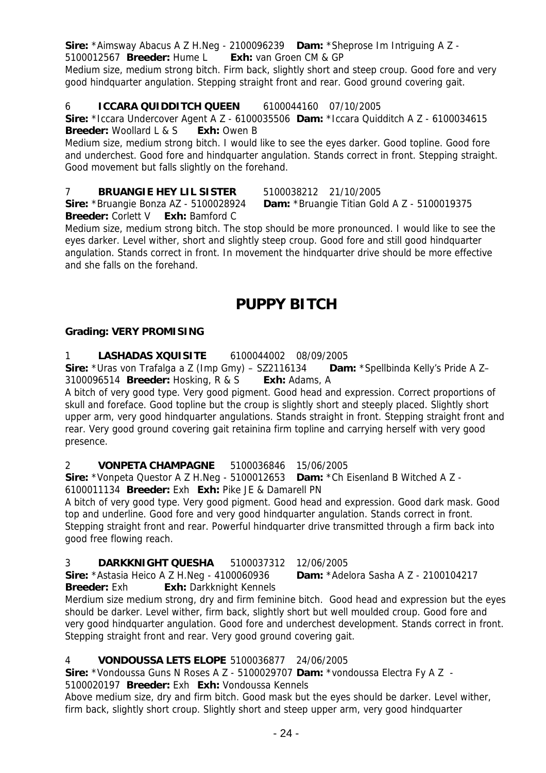**Sire:** \*Aimsway Abacus A Z H.Neg - 2100096239 **Dam:** \*Sheprose Im Intriguing A Z -

5100012567 **Breeder:** Hume L **Exh:** van Groen CM & GP

Medium size, medium strong bitch. Firm back, slightly short and steep croup. Good fore and very good hindquarter angulation. Stepping straight front and rear. Good ground covering gait.

# 6 **ICCARA QUIDDITCH QUEEN** 6100044160 07/10/2005

**Sire:** \*Iccara Undercover Agent A Z - 6100035506 **Dam:** \*Iccara Quidditch A Z - 6100034615 **Breeder:** Woollard L & S **Exh:** Owen B

Medium size, medium strong bitch. I would like to see the eyes darker. Good topline. Good fore and underchest. Good fore and hindquarter angulation. Stands correct in front. Stepping straight. Good movement but falls slightly on the forehand.

7 **BRUANGIE HEY LIL SISTER** 5100038212 21/10/2005

**Sire:** \*Bruangie Bonza AZ - 5100028924 **Dam:** \*Bruangie Titian Gold A Z - 5100019375 **Breeder:** Corlett V **Exh:** Bamford C

Medium size, medium strong bitch. The stop should be more pronounced. I would like to see the eyes darker. Level wither, short and slightly steep croup. Good fore and still good hindquarter angulation. Stands correct in front. In movement the hindquarter drive should be more effective and she falls on the forehand.

# **PUPPY BITCH**

### **Grading: VERY PROMISING**

1 **LASHADAS XQUISITE** 6100044002 08/09/2005

**Sire:** \*Uras von Trafalga a Z (Imp Gmy) – SZ2116134 **Dam:** \*Spellbinda Kelly's Pride A Z– 3100096514 **Breeder:** Hosking, R & S **Exh:** Adams, A

A bitch of very good type. Very good pigment. Good head and expression. Correct proportions of skull and foreface. Good topline but the croup is slightly short and steeply placed. Slightly short upper arm, very good hindquarter angulations. Stands straight in front. Stepping straight front and rear. Very good ground covering gait retainina firm topline and carrying herself with very good presence.

2 **VONPETA CHAMPAGNE** 5100036846 15/06/2005

**Sire:** \*Vonpeta Questor A Z H.Neg - 5100012653 **Dam:** \*Ch Eisenland B Witched A Z -

6100011134 **Breeder:** Exh **Exh:** Pike JE & Damarell PN

A bitch of very good type. Very good pigment. Good head and expression. Good dark mask. Good top and underline. Good fore and very good hindquarter angulation. Stands correct in front. Stepping straight front and rear. Powerful hindquarter drive transmitted through a firm back into good free flowing reach.

# 3 **DARKKNIGHT QUESHA** 5100037312 12/06/2005

**Sire:** \*Astasia Heico A Z H.Neg - 4100060936 **Dam:** \*Adelora Sasha A Z - 2100104217

**Breeder:** Exh **Exh:** Darkknight Kennels Merdium size medium strong, dry and firm feminine bitch. Good head and expression but the eyes should be darker. Level wither, firm back, slightly short but well moulded croup. Good fore and very good hindquarter angulation. Good fore and underchest development. Stands correct in front. Stepping straight front and rear. Very good ground covering gait.

# 4 **VONDOUSSA LETS ELOPE** 5100036877 24/06/2005

**Sire:** \*Vondoussa Guns N Roses A Z - 5100029707 **Dam:** \*vondoussa Electra Fy A Z - 5100020197 **Breeder:** Exh **Exh:** Vondoussa Kennels

Above medium size, dry and firm bitch. Good mask but the eyes should be darker. Level wither, firm back, slightly short croup. Slightly short and steep upper arm, very good hindquarter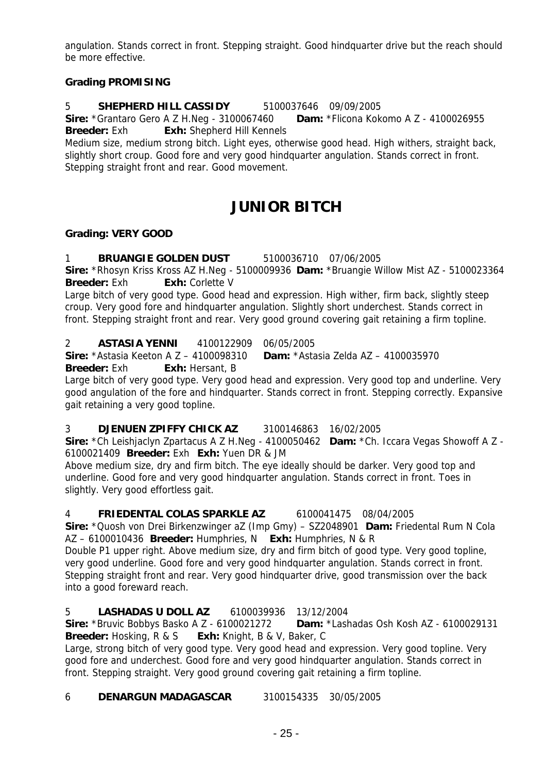angulation. Stands correct in front. Stepping straight. Good hindquarter drive but the reach should be more effective.

### **Grading PROMISING**

#### 5 **SHEPHERD HILL CASSIDY** 5100037646 09/09/2005

**Sire:** \*Grantaro Gero A Z H.Neg - 3100067460 **Dam:** \*Flicona Kokomo A Z - 4100026955 **Breeder:** Exh **Exh:** Shepherd Hill Kennels

Medium size, medium strong bitch. Light eyes, otherwise good head. High withers, straight back, slightly short croup. Good fore and very good hindquarter angulation. Stands correct in front. Stepping straight front and rear. Good movement.

# **JUNIOR BITCH**

#### **Grading: VERY GOOD**

1 **BRUANGIE GOLDEN DUST** 5100036710 07/06/2005

**Sire:** \*Rhosyn Kriss Kross AZ H.Neg - 5100009936 **Dam:** \*Bruangie Willow Mist AZ - 5100023364 **Breeder:** Exh **Exh:** Corlette V

Large bitch of very good type. Good head and expression. High wither, firm back, slightly steep croup. Very good fore and hindquarter angulation. Slightly short underchest. Stands correct in front. Stepping straight front and rear. Very good ground covering gait retaining a firm topline.

2 **ASTASIA YENNI** 4100122909 06/05/2005

**Sire:** \*Astasia Keeton A Z – 4100098310 **Dam:** \*Astasia Zelda AZ – 4100035970 **Breeder:** Exh **Exh:** Hersant, B

Large bitch of very good type. Very good head and expression. Very good top and underline. Very good angulation of the fore and hindquarter. Stands correct in front. Stepping correctly. Expansive gait retaining a very good topline.

# 3 **DJENUEN ZPIFFY CHICK AZ** 3100146863 16/02/2005

**Sire:** \*Ch Leishjaclyn Zpartacus A Z H.Neg - 4100050462 **Dam:** \*Ch. Iccara Vegas Showoff A Z - 6100021409 **Breeder:** Exh **Exh:** Yuen DR & JM

Above medium size, dry and firm bitch. The eye ideally should be darker. Very good top and underline. Good fore and very good hindquarter angulation. Stands correct in front. Toes in slightly. Very good effortless gait.

4 **FRIEDENTAL COLAS SPARKLE AZ** 6100041475 08/04/2005

**Sire:** \*Quosh von Drei Birkenzwinger aZ (Imp Gmy) – SZ2048901 **Dam:** Friedental Rum N Cola AZ – 6100010436 **Breeder:** Humphries, N **Exh:** Humphries, N & R

Double P1 upper right. Above medium size, dry and firm bitch of good type. Very good topline, very good underline. Good fore and very good hindquarter angulation. Stands correct in front. Stepping straight front and rear. Very good hindquarter drive, good transmission over the back into a good foreward reach.

# 5 **LASHADAS U DOLL AZ** 6100039936 13/12/2004

**Sire:** \*Bruvic Bobbys Basko A Z - 6100021272 **Dam:** \*Lashadas Osh Kosh AZ - 6100029131 **Breeder:** Hosking, R & S **Exh:** Knight, B & V, Baker, C

Large, strong bitch of very good type. Very good head and expression. Very good topline. Very good fore and underchest. Good fore and very good hindquarter angulation. Stands correct in front. Stepping straight. Very good ground covering gait retaining a firm topline.

6 **DENARGUN MADAGASCAR** 3100154335 30/05/2005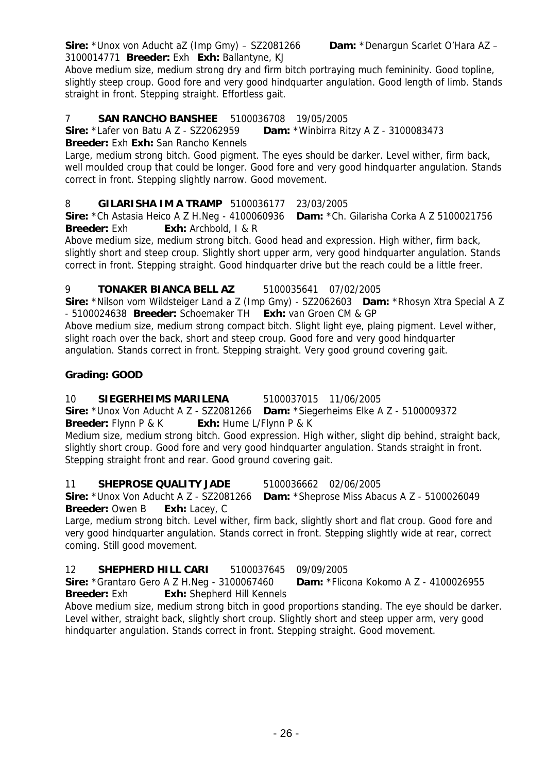3100014771 **Breeder:** Exh **Exh:** Ballantyne, KJ Above medium size, medium strong dry and firm bitch portraying much femininity. Good topline, slightly steep croup. Good fore and very good hindquarter angulation. Good length of limb. Stands straight in front. Stepping straight. Effortless gait.

#### 7 **SAN RANCHO BANSHEE** 5100036708 19/05/2005

**Sire:** \*Lafer von Batu A Z - SZ2062959 **Dam:** \*Winbirra Ritzy A Z - 3100083473

#### **Breeder:** Exh **Exh:** San Rancho Kennels

Large, medium strong bitch. Good pigment. The eyes should be darker. Level wither, firm back, well moulded croup that could be longer. Good fore and very good hindquarter angulation. Stands correct in front. Stepping slightly narrow. Good movement.

#### 8 **GILARISHA IM A TRAMP** 5100036177 23/03/2005

**Sire:** \*Ch Astasia Heico A Z H.Neg - 4100060936 **Dam:** \*Ch. Gilarisha Corka A Z 5100021756 **Breeder:** Exh **Exh:** Archbold, I & R

Above medium size, medium strong bitch. Good head and expression. High wither, firm back, slightly short and steep croup. Slightly short upper arm, very good hindquarter angulation. Stands correct in front. Stepping straight. Good hindquarter drive but the reach could be a little freer.

#### 9 **TONAKER BIANCA BELL AZ** 5100035641 07/02/2005

**Sire:** \*Nilson vom Wildsteiger Land a Z (Imp Gmy) - SZ2062603 **Dam:** \*Rhosyn Xtra Special A Z - 5100024638 **Breeder:** Schoemaker TH **Exh:** van Groen CM & GP

Above medium size, medium strong compact bitch. Slight light eye, plaing pigment. Level wither, slight roach over the back, short and steep croup. Good fore and very good hindquarter angulation. Stands correct in front. Stepping straight. Very good ground covering gait.

#### **Grading: GOOD**

#### 10 **SIEGERHEIMS MARILENA** 5100037015 11/06/2005 **Sire:** \*Unox Von Aducht A Z - SZ2081266 **Dam:** \*Siegerheims Elke A Z - 5100009372 **Breeder:** Flynn P & K **Exh:** Hume L/Flynn P & K

Medium size, medium strong bitch. Good expression. High wither, slight dip behind, straight back, slightly short croup. Good fore and very good hindquarter angulation. Stands straight in front. Stepping straight front and rear. Good ground covering gait.

#### 11 **SHEPROSE QUALITY JADE** 5100036662 02/06/2005

**Sire:** \*Unox Von Aducht A Z - SZ2081266 **Dam:** \*Sheprose Miss Abacus A Z - 5100026049 **Breeder:** Owen B **Exh:** Lacey, C

Large, medium strong bitch. Level wither, firm back, slightly short and flat croup. Good fore and very good hindquarter angulation. Stands correct in front. Stepping slightly wide at rear, correct coming. Still good movement.

#### 12 **SHEPHERD HILL CARI** 5100037645 09/09/2005

**Sire:** \*Grantaro Gero A Z H.Neg - 3100067460 **Dam:** \*Flicona Kokomo A Z - 4100026955 **Breeder:** Exh **Exh:** Shepherd Hill Kennels

Above medium size, medium strong bitch in good proportions standing. The eye should be darker. Level wither, straight back, slightly short croup. Slightly short and steep upper arm, very good hindquarter angulation. Stands correct in front. Stepping straight. Good movement.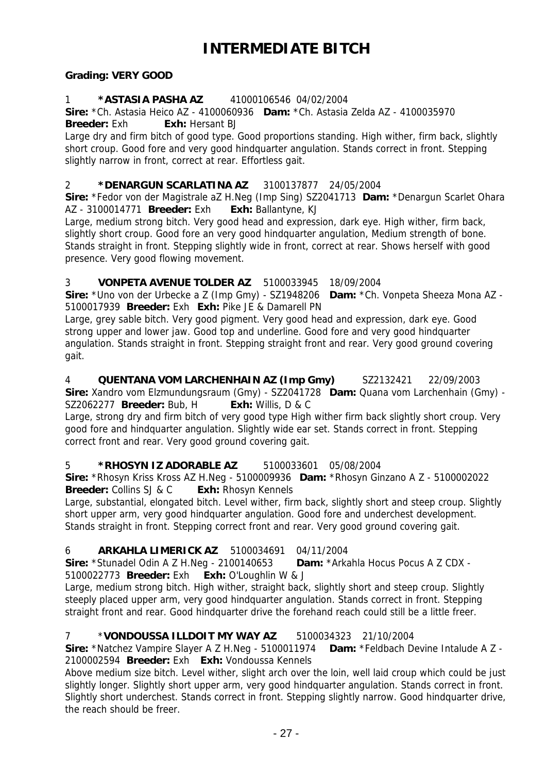# **INTERMEDIATE BITCH**

#### **Grading: VERY GOOD**

#### 1 **\*ASTASIA PASHA AZ** 41000106546 04/02/2004

**Sire:** \*Ch. Astasia Heico AZ - 4100060936 **Dam:** \*Ch. Astasia Zelda AZ - 4100035970 **Breeder:** Exh **Exh:** Hersant BJ

Large dry and firm bitch of good type. Good proportions standing. High wither, firm back, slightly short croup. Good fore and very good hindquarter angulation. Stands correct in front. Stepping slightly narrow in front, correct at rear. Effortless gait.

#### 2 **\*DENARGUN SCARLATINA AZ** 3100137877 24/05/2004

**Sire:** \*Fedor von der Magistrale aZ H.Neg (Imp Sing) SZ2041713 **Dam:** \*Denargun Scarlet Ohara AZ - 3100014771 **Breeder:** Exh **Exh:** Ballantyne, KJ

Large, medium strong bitch. Very good head and expression, dark eye. High wither, firm back, slightly short croup. Good fore an very good hindquarter angulation, Medium strength of bone. Stands straight in front. Stepping slightly wide in front, correct at rear. Shows herself with good presence. Very good flowing movement.

# 3 **VONPETA AVENUE TOLDER AZ** 5100033945 18/09/2004

**Sire:** \*Uno von der Urbecke a Z (Imp Gmy) - SZ1948206 **Dam:** \*Ch. Vonpeta Sheeza Mona AZ - 5100017939 **Breeder:** Exh **Exh:** Pike JE & Damarell PN

Large, grey sable bitch. Very good pigment. Very good head and expression, dark eye. Good strong upper and lower jaw. Good top and underline. Good fore and very good hindquarter angulation. Stands straight in front. Stepping straight front and rear. Very good ground covering gait.

4 **QUENTANA VOM LARCHENHAIN AZ (Imp Gmy)** SZ2132421 22/09/2003 **Sire:** Xandro vom Elzmundungsraum (Gmy) - SZ2041728 **Dam:** Quana vom Larchenhain (Gmy) - SZ2062277 **Breeder:** Bub, H **Exh:** Willis, D & C

Large, strong dry and firm bitch of very good type High wither firm back slightly short croup. Very good fore and hindquarter angulation. Slightly wide ear set. Stands correct in front. Stepping correct front and rear. Very good ground covering gait.

#### 5 **\*RHOSYN IZ ADORABLE AZ** 5100033601 05/08/2004

**Sire:** \*Rhosyn Kriss Kross AZ H.Neg - 5100009936 **Dam:** \*Rhosyn Ginzano A Z - 5100002022 **Breeder:** Collins SJ & C **Exh:** Rhosyn Kennels

Large, substantial, elongated bitch. Level wither, firm back, slightly short and steep croup. Slightly short upper arm, very good hindquarter angulation. Good fore and underchest development. Stands straight in front. Stepping correct front and rear. Very good ground covering gait.

# 6 **ARKAHLA LIMERICK AZ** 5100034691 04/11/2004

**Sire:** \*Stunadel Odin A Z H.Neg - 2100140653 **Dam:** \*Arkahla Hocus Pocus A Z CDX -

5100022773 **Breeder:** Exh **Exh:** O'Loughlin W & J

Large, medium strong bitch. High wither, straight back, slightly short and steep croup. Slightly steeply placed upper arm, very good hindquarter angulation. Stands correct in front. Stepping straight front and rear. Good hindquarter drive the forehand reach could still be a little freer.

# 7 \***VONDOUSSA ILLDOIT MY WAY AZ** 5100034323 21/10/2004

**Sire:** \*Natchez Vampire Slayer A Z H.Neg - 5100011974 **Dam:** \*Feldbach Devine Intalude A Z - 2100002594 **Breeder:** Exh **Exh:** Vondoussa Kennels

Above medium size bitch. Level wither, slight arch over the loin, well laid croup which could be just slightly longer. Slightly short upper arm, very good hindquarter angulation. Stands correct in front. Slightly short underchest. Stands correct in front. Stepping slightly narrow. Good hindquarter drive, the reach should be freer.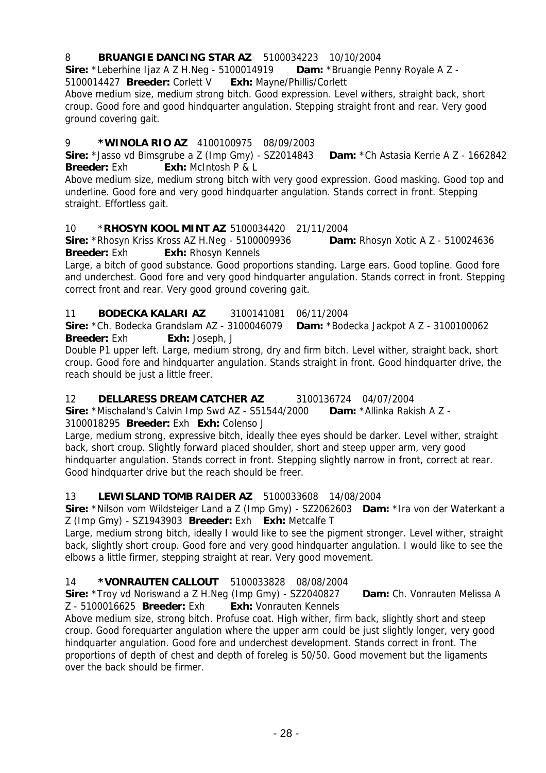### 8 **BRUANGIE DANCING STAR AZ** 5100034223 10/10/2004

**Sire:** \*Leberhine Ijaz A Z H.Neg - 5100014919 **Dam:** \*Bruangie Penny Royale A Z -

5100014427 **Breeder:** Corlett V **Exh:** Mayne/Phillis/Corlett

Above medium size, medium strong bitch. Good expression. Level withers, straight back, short croup. Good fore and good hindquarter angulation. Stepping straight front and rear. Very good ground covering gait.

# 9 **\*WINOLA RIO AZ** 4100100975 08/09/2003

**Sire:** \*Jasso vd Bimsgrube a Z (Imp Gmy) - SZ2014843 **Dam:** \*Ch Astasia Kerrie A Z - 1662842 **Breeder:** Exh: **Exh:** McIntosh P & L

Above medium size, medium strong bitch with very good expression. Good masking. Good top and underline. Good fore and very good hindquarter angulation. Stands correct in front. Stepping straight. Effortless gait.

### 10 \***RHOSYN KOOL MINT AZ** 5100034420 21/11/2004

**Sire:** \*Rhosyn Kriss Kross AZ H.Neg - 5100009936 **Dam:** Rhosyn Xotic A Z - 510024636 **Breeder:** Exh **Exh:** Rhosyn Kennels

Large, a bitch of good substance. Good proportions standing. Large ears. Good topline. Good fore and underchest. Good fore and very good hindquarter angulation. Stands correct in front. Stepping correct front and rear. Very good ground covering gait.

### 11 **BODECKA KALARI AZ** 3100141081 06/11/2004

**Sire:** \*Ch. Bodecka Grandslam AZ - 3100046079 **Dam:** \*Bodecka Jackpot A Z - 3100100062 **Breeder:** Exh **Exh:** Joseph, J

Double P1 upper left. Large, medium strong, dry and firm bitch. Level wither, straight back, short croup. Good fore and hindquarter angulation. Stands straight in front. Good hindquarter drive, the reach should be just a little freer.

# 12 **DELLARESS DREAM CATCHER AZ** 3100136724 04/07/2004

**Sire:** \*Mischaland's Calvin Imp Swd AZ - S51544/2000 **Dam:** \*Allinka Rakish A Z - 3100018295 **Breeder:** Exh **Exh:** Colenso J

Large, medium strong, expressive bitch, ideally thee eyes should be darker. Level wither, straight back, short croup. Slightly forward placed shoulder, short and steep upper arm, very good hindquarter angulation. Stands correct in front. Stepping slightly narrow in front, correct at rear. Good hindquarter drive but the reach should be freer.

# 13 **LEWISLAND TOMB RAIDER AZ** 5100033608 14/08/2004

**Sire:** \*Nilson vom Wildsteiger Land a Z (Imp Gmy) - SZ2062603 **Dam:** \*Ira von der Waterkant a Z (Imp Gmy) - SZ1943903 **Breeder:** Exh **Exh:** Metcalfe T

Large, medium strong bitch, ideally I would like to see the pigment stronger. Level wither, straight back, slightly short croup. Good fore and very good hindquarter angulation. I would like to see the elbows a little firmer, stepping straight at rear. Very good movement.

# 14 **\*VONRAUTEN CALLOUT** 5100033828 08/08/2004

**Sire:** \*Troy vd Noriswand a Z H.Neg (Imp Gmy) - SZ2040827 **Dam:** Ch. Vonrauten Melissa A Z - 5100016625 **Breeder:** Exh **Exh:** Vonrauten Kennels

Above medium size, strong bitch. Profuse coat. High wither, firm back, slightly short and steep croup. Good forequarter angulation where the upper arm could be just slightly longer, very good hindquarter angulation. Good fore and underchest development. Stands correct in front. The proportions of depth of chest and depth of foreleg is 50/50. Good movement but the ligaments over the back should be firmer.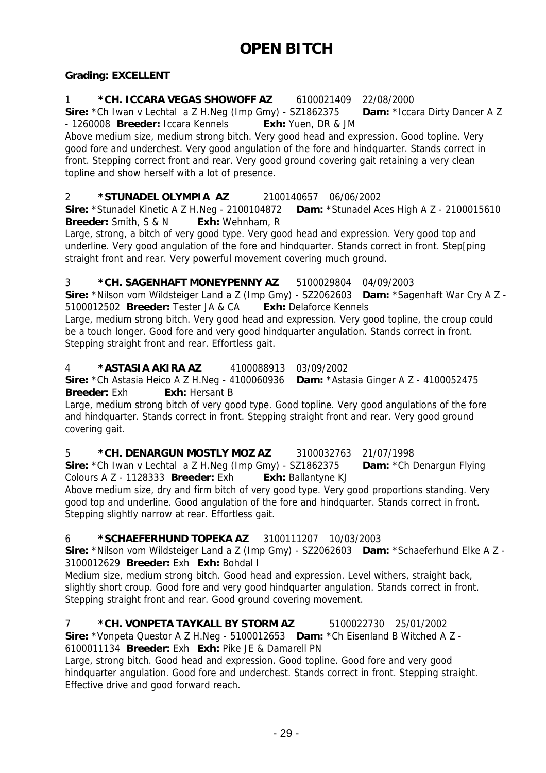### **Grading: EXCELLENT**

1 **\*CH. ICCARA VEGAS SHOWOFF AZ** 6100021409 22/08/2000 **Sire:** \*Ch Iwan v Lechtal a Z H.Neg (Imp Gmy) - SZ1862375 **Dam:** \*Iccara Dirty Dancer A Z - 1260008 **Breeder:** Iccara Kennels **Exh:** Yuen, DR & JM

Above medium size, medium strong bitch. Very good head and expression. Good topline. Very good fore and underchest. Very good angulation of the fore and hindquarter. Stands correct in front. Stepping correct front and rear. Very good ground covering gait retaining a very clean topline and show herself with a lot of presence.

2 **\*STUNADEL OLYMPIA AZ** 2100140657 06/06/2002 **Sire:** \*Stunadel Kinetic A Z H.Neg - 2100104872 **Dam:** \*Stunadel Aces High A Z - 2100015610 **Breeder:** Smith, S & N **Exh:** Wehnham, R

Large, strong, a bitch of very good type. Very good head and expression. Very good top and underline. Very good angulation of the fore and hindquarter. Stands correct in front. Step[ping straight front and rear. Very powerful movement covering much ground.

3 **\*CH. SAGENHAFT MONEYPENNY AZ** 5100029804 04/09/2003

**Sire:** \*Nilson vom Wildsteiger Land a Z (Imp Gmy) - SZ2062603 **Dam:** \*Sagenhaft War Cry A Z - 5100012502 **Breeder:** Tester JA & CA **Exh:** Delaforce Kennels

Large, medium strong bitch. Very good head and expression. Very good topline, the croup could be a touch longer. Good fore and very good hindquarter angulation. Stands correct in front. Stepping straight front and rear. Effortless gait.

#### 4 **\*ASTASIA AKIRA AZ** 4100088913 03/09/2002

**Sire:** \*Ch Astasia Heico A Z H.Neg - 4100060936 **Dam:** \*Astasia Ginger A Z - 4100052475 **Breeder:** Exh: Exh: Hersant B

Large, medium strong bitch of very good type. Good topline. Very good angulations of the fore and hindquarter. Stands correct in front. Stepping straight front and rear. Very good ground covering gait.

5 **\*CH. DENARGUN MOSTLY MOZ AZ** 3100032763 21/07/1998 **Sire:** \*Ch Iwan v Lechtal a Z H.Neg (Imp Gmy) - SZ1862375 **Dam:** \*Ch Denargun Flying Colours A Z - 1128333 **Breeder:** Exh **Exh:** Ballantyne KJ

Above medium size, dry and firm bitch of very good type. Very good proportions standing. Very good top and underline. Good angulation of the fore and hindquarter. Stands correct in front. Stepping slightly narrow at rear. Effortless gait.

# 6 **\*SCHAEFERHUND TOPEKA AZ** 3100111207 10/03/2003

**Sire:** \*Nilson vom Wildsteiger Land a Z (Imp Gmy) - SZ2062603 **Dam:** \*Schaeferhund Elke A Z - 3100012629 **Breeder:** Exh **Exh:** Bohdal I

Medium size, medium strong bitch. Good head and expression. Level withers, straight back, slightly short croup. Good fore and very good hindquarter angulation. Stands correct in front. Stepping straight front and rear. Good ground covering movement.

7 **\*CH. VONPETA TAYKALL BY STORM AZ** 5100022730 25/01/2002 **Sire:** \*Vonpeta Questor A Z H.Neg - 5100012653 **Dam:** \*Ch Eisenland B Witched A Z - 6100011134 **Breeder:** Exh **Exh:** Pike JE & Damarell PN

Large, strong bitch. Good head and expression. Good topline. Good fore and very good hindquarter angulation. Good fore and underchest. Stands correct in front. Stepping straight. Effective drive and good forward reach.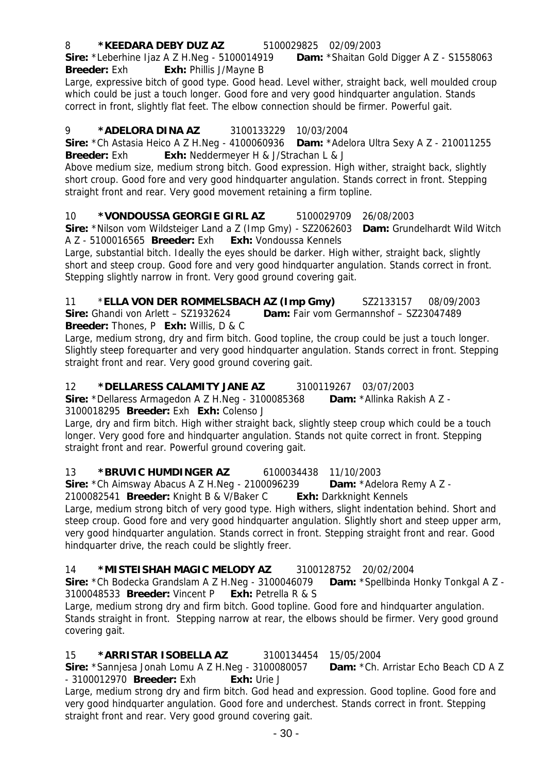# 8 **\*KEEDARA DEBY DUZ AZ** 5100029825 02/09/2003

**Sire:** \*Leberhine Ijaz A Z H.Neg - 5100014919 **Dam:** \*Shaitan Gold Digger A Z - S1558063 **Breeder:** Exh **Exh:** Phillis J/Mayne B

Large, expressive bitch of good type. Good head. Level wither, straight back, well moulded croup which could be just a touch longer. Good fore and very good hindquarter angulation. Stands correct in front, slightly flat feet. The elbow connection should be firmer. Powerful gait.

# 9 **\*ADELORA DINA AZ** 3100133229 10/03/2004

**Sire:** \*Ch Astasia Heico A Z H.Neg - 4100060936 **Dam:** \*Adelora Ultra Sexy A Z - 210011255 **Breeder:** Exh **Exh:** Neddermeyer H & J/Strachan L & J

Above medium size, medium strong bitch. Good expression. High wither, straight back, slightly short croup. Good fore and very good hindquarter angulation. Stands correct in front. Stepping straight front and rear. Very good movement retaining a firm topline.

# 10 **\*VONDOUSSA GEORGIE GIRL AZ** 5100029709 26/08/2003

**Sire:** \*Nilson vom Wildsteiger Land a Z (Imp Gmy) - SZ2062603 **Dam:** Grundelhardt Wild Witch A Z - 5100016565 **Breeder:** Exh **Exh:** Vondoussa Kennels

Large, substantial bitch. Ideally the eyes should be darker. High wither, straight back, slightly short and steep croup. Good fore and very good hindquarter angulation. Stands correct in front. Stepping slightly narrow in front. Very good ground covering gait.

11 \***ELLA VON DER ROMMELSBACH AZ (Imp Gmy)** SZ2133157 08/09/2003 **Sire:** Ghandi von Arlett – SZ1932624 **Dam:** Fair vom Germannshof – SZ23047489 **Breeder:** Thones, P **Exh:** Willis, D & C

Large, medium strong, dry and firm bitch. Good topline, the croup could be just a touch longer. Slightly steep forequarter and very good hindquarter angulation. Stands correct in front. Stepping straight front and rear. Very good ground covering gait.

# 12 **\*DELLARESS CALAMITY JANE AZ** 3100119267 03/07/2003

**Sire:** \*Dellaress Armagedon A Z H.Neg - 3100085368 **Dam:** \*Allinka Rakish A Z - 3100018295 **Breeder:** Exh **Exh:** Colenso J

Large, dry and firm bitch. High wither straight back, slightly steep croup which could be a touch longer. Very good fore and hindquarter angulation. Stands not quite correct in front. Stepping straight front and rear. Powerful ground covering gait.

# 13 **\*BRUVIC HUMDINGER AZ** 6100034438 11/10/2003

**Sire:** \*Ch Aimsway Abacus A Z H.Neg - 2100096239 **Dam:** \*Adelora Remy A Z -

2100082541 **Breeder:** Knight B & V/Baker C **Exh:** Darkknight Kennels Large, medium strong bitch of very good type. High withers, slight indentation behind. Short and steep croup. Good fore and very good hindquarter angulation. Slightly short and steep upper arm, very good hindquarter angulation. Stands correct in front. Stepping straight front and rear. Good hindquarter drive, the reach could be slightly freer.

# 14 **\*MISTEISHAH MAGIC MELODY AZ** 3100128752 20/02/2004

**Sire:** \*Ch Bodecka Grandslam A Z H.Neg - 3100046079 **Dam:** \*Spellbinda Honky Tonkgal A Z - 3100048533 **Breeder:** Vincent P **Exh:** Petrella R & S

Large, medium strong dry and firm bitch. Good topline. Good fore and hindquarter angulation. Stands straight in front. Stepping narrow at rear, the elbows should be firmer. Very good ground covering gait.

# 15 **\*ARRISTAR ISOBELLA AZ** 3100134454 15/05/2004

**Sire:** \*Sannjesa Jonah Lomu A Z H.Neg - 3100080057 **Dam:** \*Ch. Arristar Echo Beach CD A Z - 3100012970 **Breeder:** Exh **Exh:** Urie J

Large, medium strong dry and firm bitch. God head and expression. Good topline. Good fore and very good hindquarter angulation. Good fore and underchest. Stands correct in front. Stepping straight front and rear. Very good ground covering gait.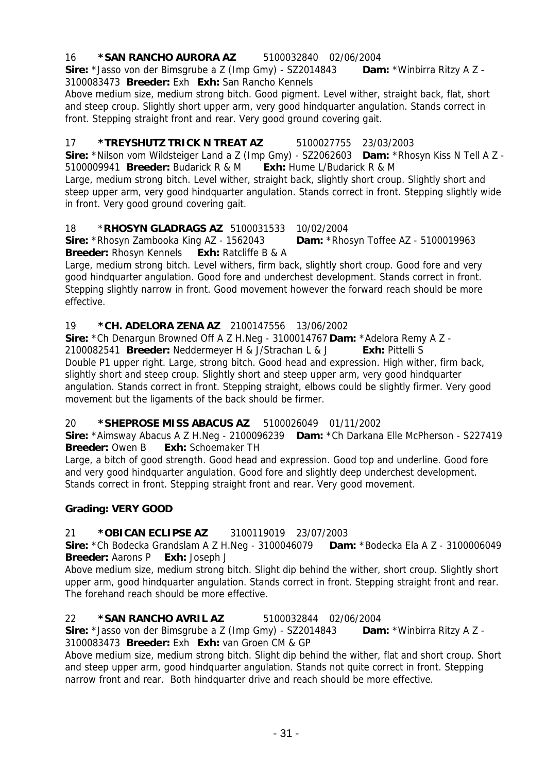# 16 **\*SAN RANCHO AURORA AZ** 5100032840 02/06/2004

**Sire:** \*Jasso von der Bimsgrube a Z (Imp Gmy) - SZ2014843 **Dam:** \*Winbirra Ritzy A Z - 3100083473 **Breeder:** Exh **Exh:** San Rancho Kennels

Above medium size, medium strong bitch. Good pigment. Level wither, straight back, flat, short and steep croup. Slightly short upper arm, very good hindquarter angulation. Stands correct in front. Stepping straight front and rear. Very good ground covering gait.

# 17 **\*TREYSHUTZ TRICK N TREAT AZ** 5100027755 23/03/2003

**Sire:** \*Nilson vom Wildsteiger Land a Z (Imp Gmy) - SZ2062603 **Dam:** \*Rhosyn Kiss N Tell A Z - 5100009941 **Breeder:** Budarick R & M **Exh:** Hume L/Budarick R & M

Large, medium strong bitch. Level wither, straight back, slightly short croup. Slightly short and steep upper arm, very good hindquarter angulation. Stands correct in front. Stepping slightly wide in front. Very good ground covering gait.

# 18 \***RHOSYN GLADRAGS AZ** 5100031533 10/02/2004

**Sire:** \*Rhosyn Zambooka King AZ - 1562043 **Dam:** \*Rhosyn Toffee AZ - 5100019963 **Breeder:** Rhosyn Kennels **Exh:** Ratcliffe B & A

Large, medium strong bitch. Level withers, firm back, slightly short croup. Good fore and very good hindquarter angulation. Good fore and underchest development. Stands correct in front. Stepping slightly narrow in front. Good movement however the forward reach should be more effective.

### 19 **\*CH. ADELORA ZENA AZ** 2100147556 13/06/2002

**Sire:** \*Ch Denargun Browned Off A Z H.Neg - 3100014767 **Dam:** \*Adelora Remy A Z - 2100082541 **Breeder:** Neddermeyer H & J/Strachan L & J **Exh:** Pittelli S Double P1 upper right. Large, strong bitch. Good head and expression. High wither, firm back, slightly short and steep croup. Slightly short and steep upper arm, very good hindquarter angulation. Stands correct in front. Stepping straight, elbows could be slightly firmer. Very good movement but the ligaments of the back should be firmer.

# 20 **\*SHEPROSE MISS ABACUS AZ** 5100026049 01/11/2002

**Sire:** \*Aimsway Abacus A Z H.Neg - 2100096239 **Dam:** \*Ch Darkana Elle McPherson - S227419 **Breeder:** Owen B **Exh:** Schoemaker TH

Large, a bitch of good strength. Good head and expression. Good top and underline. Good fore and very good hindquarter angulation. Good fore and slightly deep underchest development. Stands correct in front. Stepping straight front and rear. Very good movement.

# **Grading: VERY GOOD**

# 21 **\*OBICAN ECLIPSE AZ** 3100119019 23/07/2003

**Sire:** \*Ch Bodecka Grandslam A Z H.Neg - 3100046079 **Dam:** \*Bodecka Ela A Z - 3100006049 **Breeder:** Aarons P **Exh:** Joseph J

Above medium size, medium strong bitch. Slight dip behind the wither, short croup. Slightly short upper arm, good hindquarter angulation. Stands correct in front. Stepping straight front and rear. The forehand reach should be more effective.

#### 22 **\*SAN RANCHO AVRIL AZ** 5100032844 02/06/2004

**Sire:** \*Jasso von der Bimsgrube a Z (Imp Gmy) - SZ2014843 **Dam:** \*Winbirra Ritzy A Z - 3100083473 **Breeder:** Exh **Exh:** van Groen CM & GP

Above medium size, medium strong bitch. Slight dip behind the wither, flat and short croup. Short and steep upper arm, good hindquarter angulation. Stands not quite correct in front. Stepping narrow front and rear. Both hindquarter drive and reach should be more effective.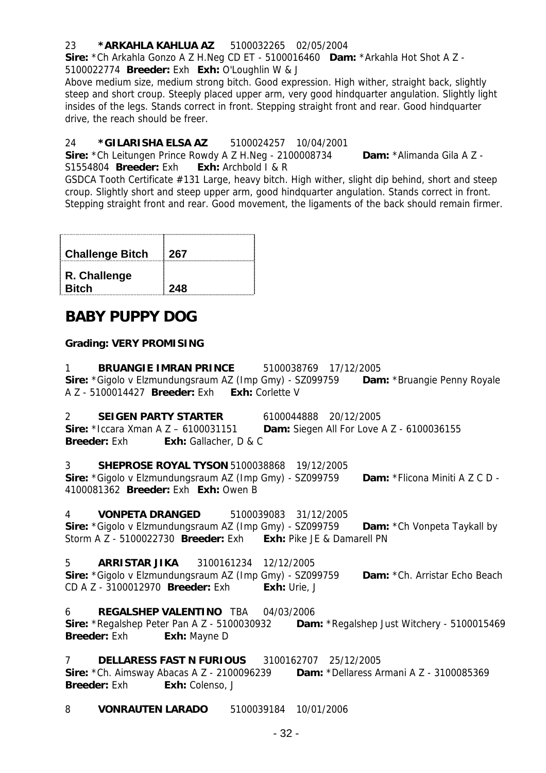### 23 **\*ARKAHLA KAHLUA AZ** 5100032265 02/05/2004

**Sire:** \*Ch Arkahla Gonzo A Z H.Neg CD ET - 5100016460 **Dam:** \*Arkahla Hot Shot A Z -

5100022774 **Breeder:** Exh **Exh:** O'Loughlin W & J

Above medium size, medium strong bitch. Good expression. High wither, straight back, slightly steep and short croup. Steeply placed upper arm, very good hindquarter angulation. Slightly light insides of the legs. Stands correct in front. Stepping straight front and rear. Good hindquarter drive, the reach should be freer.

### 24 **\*GILARISHA ELSA AZ** 5100024257 10/04/2001

**Sire:** \*Ch Leitungen Prince Rowdy A Z H.Neg - 2100008734 **Dam:** \*Alimanda Gila A Z -

S1554804 **Breeder:** Exh. **Exh:** Archbold I & R

GSDCA Tooth Certificate #131 Large, heavy bitch. High wither, slight dip behind, short and steep croup. Slightly short and steep upper arm, good hindquarter angulation. Stands correct in front. Stepping straight front and rear. Good movement, the ligaments of the back should remain firmer.

| <b>Challenge Bitch</b>       | 267 |
|------------------------------|-----|
| R. Challenge<br><b>Bitch</b> | 248 |

# **BABY PUPPY DOG**

### **Grading: VERY PROMISING**

1 **BRUANGIE IMRAN PRINCE** 5100038769 17/12/2005 **Sire:** \*Gigolo v Elzmundungsraum AZ (Imp Gmy) - SZ099759 **Dam:** \*Bruangie Penny Royale A Z - 5100014427 **Breeder:** Exh **Exh:** Corlette V

2 **SEIGEN PARTY STARTER** 6100044888 20/12/2005 **Sire:** \*Iccara Xman A Z – 6100031151 **Dam:** Siegen All For Love A Z - 6100036155 **Breeder:** Exh: Exh: Gallacher, D & C

3 **SHEPROSE ROYAL TYSON** 5100038868 19/12/2005 **Sire:** \*Gigolo v Elzmundungsraum AZ (Imp Gmy) - SZ099759 **Dam:** \*Flicona Miniti A Z C D - 4100081362 **Breeder:** Exh **Exh:** Owen B

4 **VONPETA DRANGED** 5100039083 31/12/2005 **Sire:** \*Gigolo v Elzmundungsraum AZ (Imp Gmy) - SZ099759 **Dam:** \*Ch Vonpeta Taykall by Storm A Z - 5100022730 **Breeder:** Exh **Exh:** Pike JE & Damarell PN

5 **ARRISTAR JIKA** 3100161234 12/12/2005 **Sire:** \*Gigolo v Elzmundungsraum AZ (Imp Gmy) - SZ099759 **Dam:** \*Ch. Arristar Echo Beach CD A Z - 3100012970 **Breeder:** Exh **Exh:** Urie, J

6 **REGALSHEP VALENTINO** TBA 04/03/2006 **Sire:** \*Regalshep Peter Pan A Z - 5100030932 **Dam:** \*Regalshep Just Witchery - 5100015469 **Breeder:** Exh **Exh:** Mayne D

7 **DELLARESS FAST N FURIOUS** 3100162707 25/12/2005

**Sire:** \*Ch. Aimsway Abacas A Z - 2100096239 **Dam:** \*Dellaress Armani A Z - 3100085369 **Breeder:** Exh **Exh:** Colenso, J

8 **VONRAUTEN LARADO** 5100039184 10/01/2006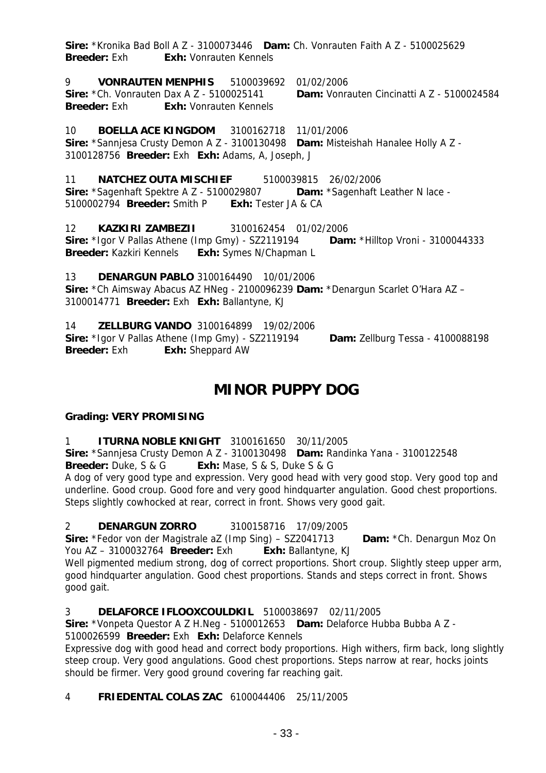**Sire:** \*Kronika Bad Boll A Z - 3100073446 **Dam:** Ch. Vonrauten Faith A Z - 5100025629 **Breeder:** Exh: **Exh:** Vonrauten Kennels

9 **VONRAUTEN MENPHIS** 5100039692 01/02/2006 **Sire:** \*Ch. Vonrauten Dax A Z - 5100025141 **Dam:** Vonrauten Cincinatti A Z - 5100024584 **Breeder:** Exh **Exh:** Vonrauten Kennels

10 **BOELLA ACE KINGDOM** 3100162718 11/01/2006 **Sire:** \*Sannjesa Crusty Demon A Z - 3100130498 **Dam:** Misteishah Hanalee Holly A Z - 3100128756 **Breeder:** Exh **Exh:** Adams, A, Joseph, J

11 **NATCHEZ OUTA MISCHIEF** 5100039815 26/02/2006 **Sire:** \*Sagenhaft Spektre A Z - 5100029807 **Dam:** \*Sagenhaft Leather N lace - 5100002794 **Breeder:** Smith P **Exh:** Tester JA & CA

12 **KAZKIRI ZAMBEZII** 3100162454 01/02/2006 **Sire:** \*Igor V Pallas Athene (Imp Gmy) - SZ2119194 **Dam:** \*Hilltop Vroni - 3100044333 **Breeder:** Kazkiri Kennels **Exh:** Symes N/Chapman L

13 **DENARGUN PABLO** 3100164490 10/01/2006 **Sire:** \*Ch Aimsway Abacus AZ HNeg - 2100096239 **Dam:** \*Denargun Scarlet O'Hara AZ – 3100014771 **Breeder:** Exh **Exh:** Ballantyne, KJ

14 **ZELLBURG VANDO** 3100164899 19/02/2006 **Sire:** \*Igor V Pallas Athene (Imp Gmy) - SZ2119194 **Dam:** Zellburg Tessa - 4100088198 **Breeder:** Exh **Exh:** Sheppard AW

# **MINOR PUPPY DOG**

# **Grading: VERY PROMISING**

1 **ITURNA NOBLE KNIGHT** 3100161650 30/11/2005

**Sire:** \*Sannjesa Crusty Demon A Z - 3100130498 **Dam:** Randinka Yana - 3100122548

**Breeder:** Duke, S & G **Exh:** Mase, S & S, Duke S & G

A dog of very good type and expression. Very good head with very good stop. Very good top and underline. Good croup. Good fore and very good hindquarter angulation. Good chest proportions. Steps slightly cowhocked at rear, correct in front. Shows very good gait.

# 2 **DENARGUN ZORRO** 3100158716 17/09/2005

**Sire:** \*Fedor von der Magistrale aZ (Imp Sing) – SZ2041713 **Dam:** \*Ch. Denargun Moz On You AZ – 3100032764 **Breeder:** Exh **Exh:** Ballantyne, KJ

Well pigmented medium strong, dog of correct proportions. Short croup. Slightly steep upper arm, good hindquarter angulation. Good chest proportions. Stands and steps correct in front. Shows good gait.

# 3 **DELAFORCE IFLOOXCOULDKIL** 5100038697 02/11/2005

**Sire:** \*Vonpeta Questor A Z H.Neg - 5100012653 **Dam:** Delaforce Hubba Bubba A Z - 5100026599 **Breeder:** Exh **Exh:** Delaforce Kennels

Expressive dog with good head and correct body proportions. High withers, firm back, long slightly steep croup. Very good angulations. Good chest proportions. Steps narrow at rear, hocks joints should be firmer. Very good ground covering far reaching gait.

# 4 **FRIEDENTAL COLAS ZAC** 6100044406 25/11/2005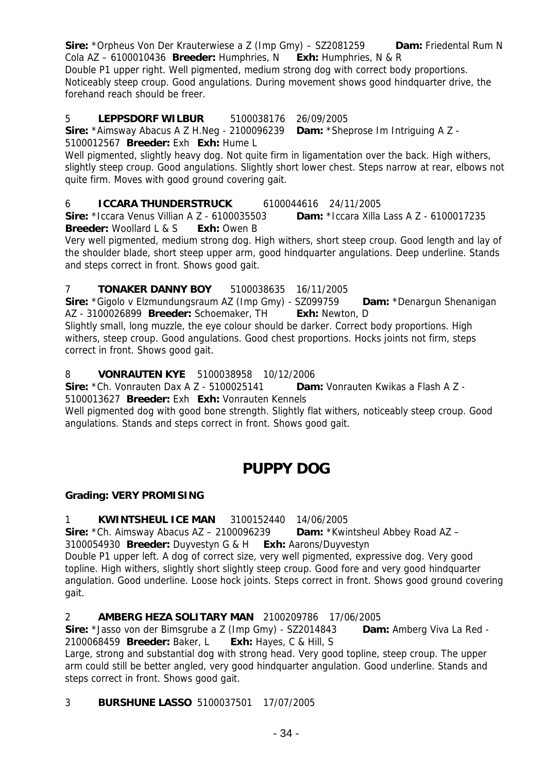**Sire:** \*Orpheus Von Der Krauterwiese a Z (Imp Gmy) – SZ2081259 **Dam:** Friedental Rum N Cola AZ – 6100010436 **Breeder:** Humphries, N **Exh:** Humphries, N & R Double P1 upper right. Well pigmented, medium strong dog with correct body proportions. Noticeably steep croup. Good angulations. During movement shows good hindquarter drive, the forehand reach should be freer.

### 5 **LEPPSDORF WILBUR** 5100038176 26/09/2005

**Sire:** \*Aimsway Abacus A Z H.Neg - 2100096239 **Dam:** \*Sheprose Im Intriguing A Z - 5100012567 **Breeder:** Exh **Exh:** Hume L

Well pigmented, slightly heavy dog. Not quite firm in ligamentation over the back. High withers, slightly steep croup. Good angulations. Slightly short lower chest. Steps narrow at rear, elbows not quite firm. Moves with good ground covering gait.

6 **ICCARA THUNDERSTRUCK** 6100044616 24/11/2005

**Sire:** \*Iccara Venus Villian A Z - 6100035503 **Dam:** \*Iccara Xilla Lass A Z - 6100017235 **Breeder:** Woollard L & S **Exh:** Owen B

Very well pigmented, medium strong dog. High withers, short steep croup. Good length and lay of the shoulder blade, short steep upper arm, good hindquarter angulations. Deep underline. Stands and steps correct in front. Shows good gait.

### 7 **TONAKER DANNY BOY** 5100038635 16/11/2005

**Sire:** \*Gigolo v Elzmundungsraum AZ (Imp Gmy) - SZ099759 **Dam:** \*Denargun Shenanigan AZ - 3100026899 **Breeder:** Schoemaker, TH **Exh:** Newton, D

Slightly small, long muzzle, the eye colour should be darker. Correct body proportions. High withers, steep croup. Good angulations. Good chest proportions. Hocks joints not firm, steps correct in front. Shows good gait.

# 8 **VONRAUTEN KYE** 5100038958 10/12/2006

**Sire:** \*Ch. Vonrauten Dax A Z - 5100025141 **Dam:** Vonrauten Kwikas a Flash A Z - 5100013627 **Breeder:** Exh **Exh:** Vonrauten Kennels

Well pigmented dog with good bone strength. Slightly flat withers, noticeably steep croup. Good angulations. Stands and steps correct in front. Shows good gait.

# **PUPPY DOG**

#### **Grading: VERY PROMISING**

1 **KWINTSHEUL ICE MAN** 3100152440 14/06/2005

**Sire:** \*Ch. Aimsway Abacus AZ – 2100096239 **Dam:** \*Kwintsheul Abbey Road AZ – 3100054930 **Breeder:** Duyvestyn G & H **Exh:** Aarons/Duyvestyn

Double P1 upper left. A dog of correct size, very well pigmented, expressive dog. Very good topline. High withers, slightly short slightly steep croup. Good fore and very good hindquarter angulation. Good underline. Loose hock joints. Steps correct in front. Shows good ground covering gait.

#### 2 **AMBERG HEZA SOLITARY MAN** 2100209786 17/06/2005

**Sire:** \*Jasso von der Bimsgrube a Z (Imp Gmy) - SZ2014843 **Dam:** Amberg Viva La Red - 2100068459 **Breeder:** Baker, L **Exh:** Hayes, C & Hill, S

Large, strong and substantial dog with strong head. Very good topline, steep croup. The upper arm could still be better angled, very good hindquarter angulation. Good underline. Stands and steps correct in front. Shows good gait.

#### 3 **BURSHUNE LASSO** 5100037501 17/07/2005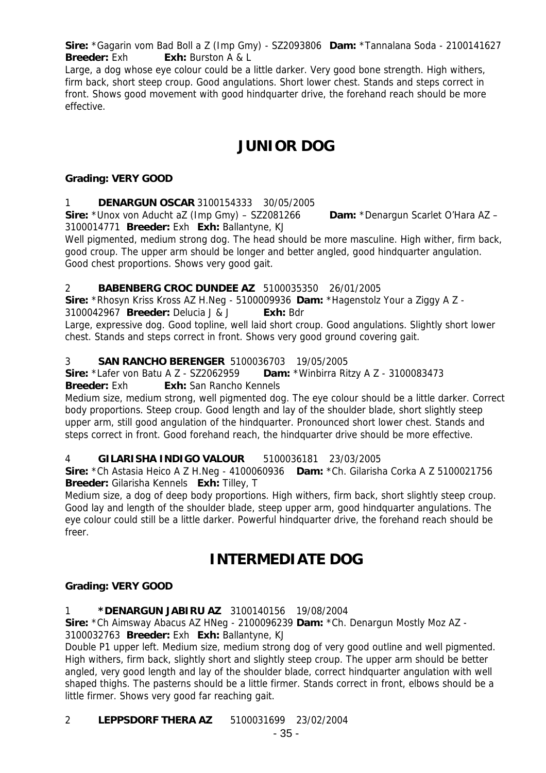**Sire:** \*Gagarin vom Bad Boll a Z (Imp Gmy) - SZ2093806 **Dam:** \*Tannalana Soda - 2100141627 **Breeder:** Exh **Exh:** Burston A & L

Large, a dog whose eye colour could be a little darker. Very good bone strength. High withers, firm back, short steep croup. Good angulations. Short lower chest. Stands and steps correct in front. Shows good movement with good hindquarter drive, the forehand reach should be more effective.

# **JUNIOR DOG**

#### **Grading: VERY GOOD**

### 1 **DENARGUN OSCAR** 3100154333 30/05/2005

**Sire:** \*Unox von Aducht aZ (Imp Gmy) – SZ2081266 **Dam:** \*Denargun Scarlet O'Hara AZ – 3100014771 **Breeder:** Exh **Exh:** Ballantyne, KJ

Well pigmented, medium strong dog. The head should be more masculine. High wither, firm back, good croup. The upper arm should be longer and better angled, good hindquarter angulation. Good chest proportions. Shows very good gait.

### 2 **BABENBERG CROC DUNDEE AZ** 5100035350 26/01/2005

**Sire:** \*Rhosyn Kriss Kross AZ H.Neg - 5100009936 **Dam:** \*Hagenstolz Your a Ziggy A Z -

3100042967 **Breeder:** Delucia J & J **Exh:** Bdr

Large, expressive dog. Good topline, well laid short croup. Good angulations. Slightly short lower chest. Stands and steps correct in front. Shows very good ground covering gait.

### 3 **SAN RANCHO BERENGER** 5100036703 19/05/2005

**Sire:** \*Lafer von Batu A Z - SZ2062959 **Dam:** \*Winbirra Ritzy A Z - 3100083473

#### **Breeder:** Exh **Exh:** San Rancho Kennels

Medium size, medium strong, well pigmented dog. The eye colour should be a little darker. Correct body proportions. Steep croup. Good length and lay of the shoulder blade, short slightly steep upper arm, still good angulation of the hindquarter. Pronounced short lower chest. Stands and steps correct in front. Good forehand reach, the hindquarter drive should be more effective.

#### 4 **GILARISHA INDIGO VALOUR** 5100036181 23/03/2005

**Sire:** \*Ch Astasia Heico A Z H.Neg - 4100060936 **Dam:** \*Ch. Gilarisha Corka A Z 5100021756 **Breeder:** Gilarisha Kennels **Exh:** Tilley, T

Medium size, a dog of deep body proportions. High withers, firm back, short slightly steep croup. Good lay and length of the shoulder blade, steep upper arm, good hindquarter angulations. The eye colour could still be a little darker. Powerful hindquarter drive, the forehand reach should be freer.

# **INTERMEDIATE DOG**

#### **Grading: VERY GOOD**

1 **\*DENARGUN JABIRU AZ** 3100140156 19/08/2004

**Sire:** \*Ch Aimsway Abacus AZ HNeg - 2100096239 **Dam:** \*Ch. Denargun Mostly Moz AZ - 3100032763 **Breeder:** Exh **Exh:** Ballantyne, KJ

Double P1 upper left. Medium size, medium strong dog of very good outline and well pigmented. High withers, firm back, slightly short and slightly steep croup. The upper arm should be better angled, very good length and lay of the shoulder blade, correct hindquarter angulation with well shaped thighs. The pasterns should be a little firmer. Stands correct in front, elbows should be a little firmer. Shows very good far reaching gait.

2 **LEPPSDORF THERA AZ** 5100031699 23/02/2004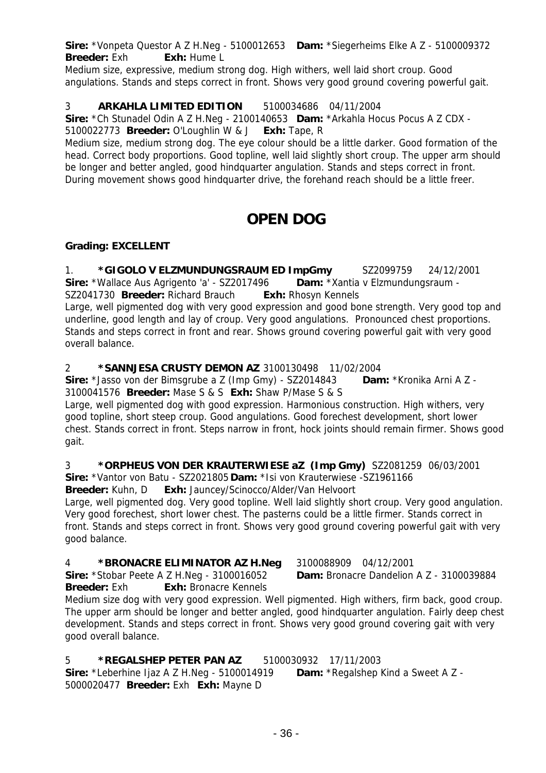**Sire:** \*Vonpeta Questor A Z H.Neg - 5100012653 **Dam:** \*Siegerheims Elke A Z - 5100009372 **Breeder:** Exh **Exh:** Hume L

Medium size, expressive, medium strong dog. High withers, well laid short croup. Good angulations. Stands and steps correct in front. Shows very good ground covering powerful gait.

# 3 **ARKAHLA LIMITED EDITION** 5100034686 04/11/2004

**Sire:** \*Ch Stunadel Odin A Z H.Neg - 2100140653 **Dam:** \*Arkahla Hocus Pocus A Z CDX - 5100022773 **Breeder:** O'Loughlin W & J **Exh:** Tape, R

Medium size, medium strong dog. The eye colour should be a little darker. Good formation of the head. Correct body proportions. Good topline, well laid slightly short croup. The upper arm should be longer and better angled, good hindquarter angulation. Stands and steps correct in front. During movement shows good hindquarter drive, the forehand reach should be a little freer.

# **OPEN DOG**

### **Grading: EXCELLENT**

1. **\*GIGOLO V ELZMUNDUNGSRAUM ED ImpGmy** SZ2099759 24/12/2001 **Sire:** \*Wallace Aus Agrigento 'a' - SZ2017496 **Dam:** \*Xantia v Elzmundungsraum - SZ2041730 **Breeder:** Richard Brauch **Exh:** Rhosyn Kennels Large, well pigmented dog with very good expression and good bone strength. Very good top and underline, good length and lay of croup. Very good angulations. Pronounced chest proportions. Stands and steps correct in front and rear. Shows ground covering powerful gait with very good overall balance.

### 2 **\*SANNJESA CRUSTY DEMON AZ** 3100130498 11/02/2004

**Sire:** \*Jasso von der Bimsgrube a Z (Imp Gmy) - SZ2014843 **Dam:** \*Kronika Arni A Z - 3100041576 **Breeder:** Mase S & S **Exh:** Shaw P/Mase S & S

Large, well pigmented dog with good expression. Harmonious construction. High withers, very good topline, short steep croup. Good angulations. Good forechest development, short lower chest. Stands correct in front. Steps narrow in front, hock joints should remain firmer. Shows good gait.

#### 3 **\*ORPHEUS VON DER KRAUTERWIESE aZ (Imp Gmy)** SZ2081259 06/03/2001 **Sire:** \*Vantor von Batu - SZ2021805 **Dam:** \*Isi von Krauterwiese -SZ1961166

**Breeder:** Kuhn, D **Exh:** Jauncey/Scinocco/Alder/Van Helvoort

Large, well pigmented dog. Very good topline. Well laid slightly short croup. Very good angulation. Very good forechest, short lower chest. The pasterns could be a little firmer. Stands correct in front. Stands and steps correct in front. Shows very good ground covering powerful gait with very good balance.

# 4 **\*BRONACRE ELIMINATOR AZ H.Neg** 3100088909 04/12/2001

**Sire:** \*Stobar Peete A Z H.Neg - 3100016052 **Dam:** Bronacre Dandelion A Z - 3100039884 **Breeder:** Exh **Exh:** Bronacre Kennels

Medium size dog with very good expression. Well pigmented. High withers, firm back, good croup. The upper arm should be longer and better angled, good hindquarter angulation. Fairly deep chest development. Stands and steps correct in front. Shows very good ground covering gait with very good overall balance.

# 5 **\*REGALSHEP PETER PAN AZ** 5100030932 17/11/2003

**Sire:** \*Leberhine Ijaz A Z H.Neg - 5100014919 **Dam:** \*Regalshep Kind a Sweet A Z - 5000020477 **Breeder:** Exh **Exh:** Mayne D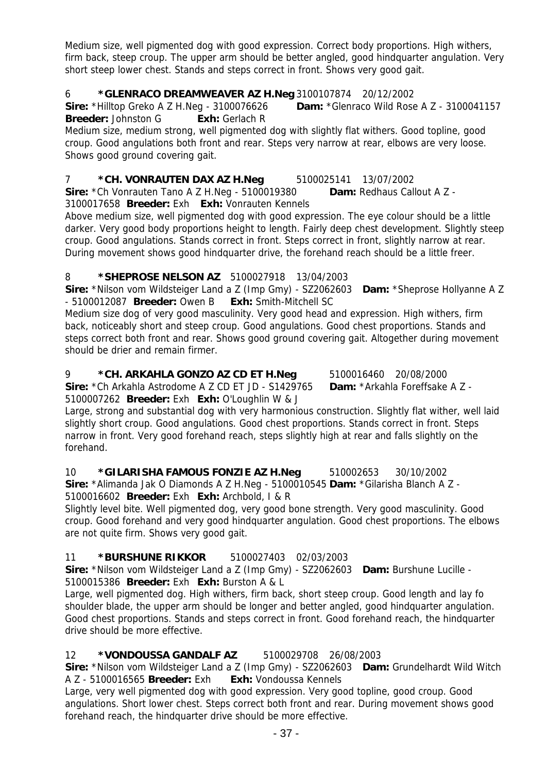Medium size, well pigmented dog with good expression. Correct body proportions. High withers, firm back, steep croup. The upper arm should be better angled, good hindquarter angulation. Very short steep lower chest. Stands and steps correct in front. Shows very good gait.

### 6 **\*GLENRACO DREAMWEAVER AZ H.Neg** 3100107874 20/12/2002

**Sire:** \*Hilltop Greko A Z H.Neg - 3100076626 **Dam:** \*Glenraco Wild Rose A Z - 3100041157 **Breeder:** Johnston G **Exh:** Gerlach R

Medium size, medium strong, well pigmented dog with slightly flat withers. Good topline, good croup. Good angulations both front and rear. Steps very narrow at rear, elbows are very loose. Shows good ground covering gait.

### 7 **\*CH. VONRAUTEN DAX AZ H.Neg** 5100025141 13/07/2002

**Sire:** \*Ch Vonrauten Tano A Z H.Neg - 5100019380 **Dam:** Redhaus Callout A Z - 3100017658 **Breeder:** Exh **Exh:** Vonrauten Kennels

Above medium size, well pigmented dog with good expression. The eye colour should be a little darker. Very good body proportions height to length. Fairly deep chest development. Slightly steep croup. Good angulations. Stands correct in front. Steps correct in front, slightly narrow at rear. During movement shows good hindquarter drive, the forehand reach should be a little freer.

#### 8 **\*SHEPROSE NELSON AZ** 5100027918 13/04/2003

**Sire:** \*Nilson vom Wildsteiger Land a Z (Imp Gmy) - SZ2062603 **Dam:** \*Sheprose Hollyanne A Z - 5100012087 **Breeder:** Owen B **Exh:** Smith-Mitchell SC

Medium size dog of very good masculinity. Very good head and expression. High withers, firm back, noticeably short and steep croup. Good angulations. Good chest proportions. Stands and steps correct both front and rear. Shows good ground covering gait. Altogether during movement should be drier and remain firmer.

#### 9 **\*CH. ARKAHLA GONZO AZ CD ET H.Neg** 5100016460 20/08/2000 **Sire:** \*Ch Arkahla Astrodome A Z CD ET JD - S1429765 **Dam:** \*Arkahla Foreffsake A Z - 5100007262 **Breeder:** Exh **Exh:** O'Loughlin W & J

Large, strong and substantial dog with very harmonious construction. Slightly flat wither, well laid slightly short croup. Good angulations. Good chest proportions. Stands correct in front. Steps narrow in front. Very good forehand reach, steps slightly high at rear and falls slightly on the forehand.

10 **\*GILARISHA FAMOUS FONZIE AZ H.Neg** 510002653 30/10/2002

**Sire:** \*Alimanda Jak O Diamonds A Z H.Neg - 5100010545 **Dam:** \*Gilarisha Blanch A Z - 5100016602 **Breeder:** Exh **Exh:** Archbold, I & R

Slightly level bite. Well pigmented dog, very good bone strength. Very good masculinity. Good croup. Good forehand and very good hindquarter angulation. Good chest proportions. The elbows are not quite firm. Shows very good gait.

# 11 **\*BURSHUNE RIKKOR** 5100027403 02/03/2003

**Sire:** \*Nilson vom Wildsteiger Land a Z (Imp Gmy) - SZ2062603 **Dam:** Burshune Lucille - 5100015386 **Breeder:** Exh **Exh:** Burston A & L

Large, well pigmented dog. High withers, firm back, short steep croup. Good length and lay fo shoulder blade, the upper arm should be longer and better angled, good hindquarter angulation. Good chest proportions. Stands and steps correct in front. Good forehand reach, the hindquarter drive should be more effective.

# 12 **\*VONDOUSSA GANDALF AZ** 5100029708 26/08/2003

**Sire:** \*Nilson vom Wildsteiger Land a Z (Imp Gmy) - SZ2062603 **Dam:** Grundelhardt Wild Witch A Z - 5100016565 **Breeder:** Exh **Exh:** Vondoussa Kennels

Large, very well pigmented dog with good expression. Very good topline, good croup. Good angulations. Short lower chest. Steps correct both front and rear. During movement shows good forehand reach, the hindquarter drive should be more effective.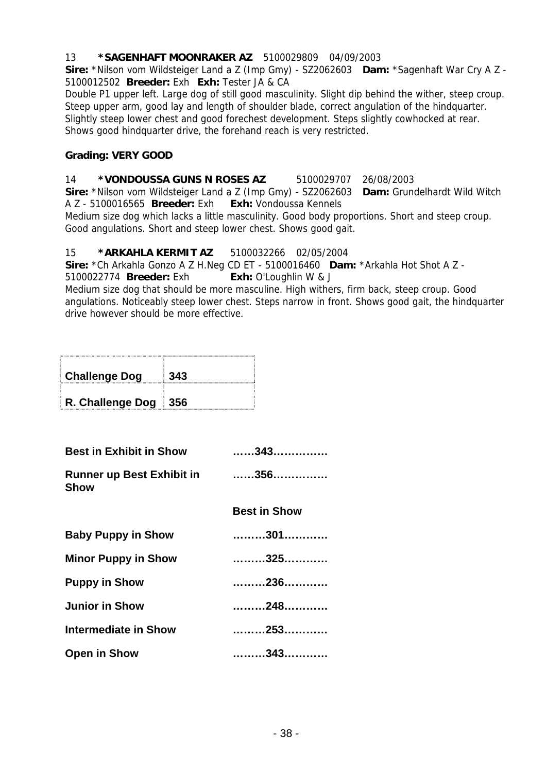#### 13 **\*SAGENHAFT MOONRAKER AZ** 5100029809 04/09/2003

**Sire:** \*Nilson vom Wildsteiger Land a Z (Imp Gmy) - SZ2062603 **Dam:** \*Sagenhaft War Cry A Z - 5100012502 **Breeder:** Exh **Exh:** Tester JA & CA

Double P1 upper left. Large dog of still good masculinity. Slight dip behind the wither, steep croup. Steep upper arm, good lay and length of shoulder blade, correct angulation of the hindquarter. Slightly steep lower chest and good forechest development. Steps slightly cowhocked at rear. Shows good hindquarter drive, the forehand reach is very restricted.

#### **Grading: VERY GOOD**

# 14 **\*VONDOUSSA GUNS N ROSES AZ** 5100029707 26/08/2003

**Sire:** \*Nilson vom Wildsteiger Land a Z (Imp Gmy) - SZ2062603 **Dam:** Grundelhardt Wild Witch A Z - 5100016565 **Breeder:** Exh **Exh:** Vondoussa Kennels

Medium size dog which lacks a little masculinity. Good body proportions. Short and steep croup. Good angulations. Short and steep lower chest. Shows good gait.

#### 15 **\*ARKAHLA KERMIT AZ** 5100032266 02/05/2004

**Sire:** \*Ch Arkahla Gonzo A Z H.Neg CD ET - 5100016460 **Dam:** \*Arkahla Hot Shot A Z -

5100022774 **Breeder:** Exh **Exh:** O'Loughlin W & J

Medium size dog that should be more masculine. High withers, firm back, steep croup. Good angulations. Noticeably steep lower chest. Steps narrow in front. Shows good gait, the hindquarter drive however should be more effective.

| <b>Challenge Dog</b> | 343 |
|----------------------|-----|
| R. Challenge Dog 356 |     |

| <b>Best in Exhibit in Show</b>                  | 343                 |
|-------------------------------------------------|---------------------|
| <b>Runner up Best Exhibit in</b><br><b>Show</b> | 356                 |
|                                                 | <b>Best in Show</b> |
| <b>Baby Puppy in Show</b>                       | 301                 |
| <b>Minor Puppy in Show</b>                      | 325                 |
| <b>Puppy in Show</b>                            | 236                 |
| <b>Junior in Show</b>                           | 248                 |
| Intermediate in Show                            | 253                 |
| <b>Open in Show</b>                             | 343                 |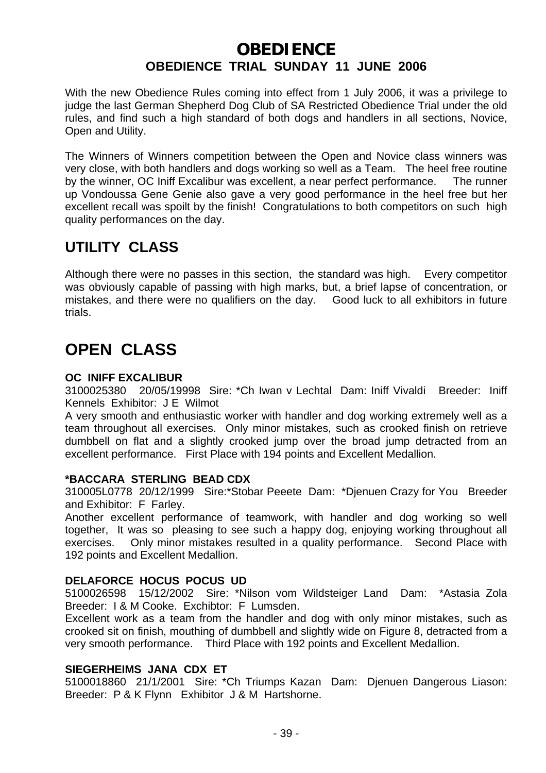# **OBEDIENCE OBEDIENCE TRIAL SUNDAY 11 JUNE 2006**

With the new Obedience Rules coming into effect from 1 July 2006, it was a privilege to judge the last German Shepherd Dog Club of SA Restricted Obedience Trial under the old rules, and find such a high standard of both dogs and handlers in all sections, Novice, Open and Utility.

The Winners of Winners competition between the Open and Novice class winners was very close, with both handlers and dogs working so well as a Team. The heel free routine by the winner, OC Iniff Excalibur was excellent, a near perfect performance. The runner up Vondoussa Gene Genie also gave a very good performance in the heel free but her excellent recall was spoilt by the finish! Congratulations to both competitors on such high quality performances on the day.

# **UTILITY CLASS**

Although there were no passes in this section, the standard was high. Every competitor was obviously capable of passing with high marks, but, a brief lapse of concentration, or mistakes, and there were no qualifiers on the day. Good luck to all exhibitors in future trials.

# **OPEN CLASS**

### **OC INIFF EXCALIBUR**

3100025380 20/05/19998 Sire: \*Ch Iwan v Lechtal Dam: Iniff Vivaldi Breeder: Iniff Kennels Exhibitor: J E Wilmot

A very smooth and enthusiastic worker with handler and dog working extremely well as a team throughout all exercises. Only minor mistakes, such as crooked finish on retrieve dumbbell on flat and a slightly crooked jump over the broad jump detracted from an excellent performance. First Place with 194 points and Excellent Medallion.

#### **\*BACCARA STERLING BEAD CDX**

310005L0778 20/12/1999 Sire:\*Stobar Peeete Dam: \*Djenuen Crazy for You Breeder and Exhibitor: F Farley.

Another excellent performance of teamwork, with handler and dog working so well together, It was so pleasing to see such a happy dog, enjoying working throughout all exercises. Only minor mistakes resulted in a quality performance. Second Place with 192 points and Excellent Medallion.

#### **DELAFORCE HOCUS POCUS UD**

5100026598 15/12/2002 Sire: \*Nilson vom Wildsteiger Land Dam: \*Astasia Zola Breeder: I & M Cooke. Exchibtor: F Lumsden.

Excellent work as a team from the handler and dog with only minor mistakes, such as crooked sit on finish, mouthing of dumbbell and slightly wide on Figure 8, detracted from a very smooth performance. Third Place with 192 points and Excellent Medallion.

# **SIEGERHEIMS JANA CDX ET**

5100018860 21/1/2001 Sire: \*Ch Triumps Kazan Dam: Djenuen Dangerous Liason: Breeder: P & K Flynn Exhibitor J & M Hartshorne.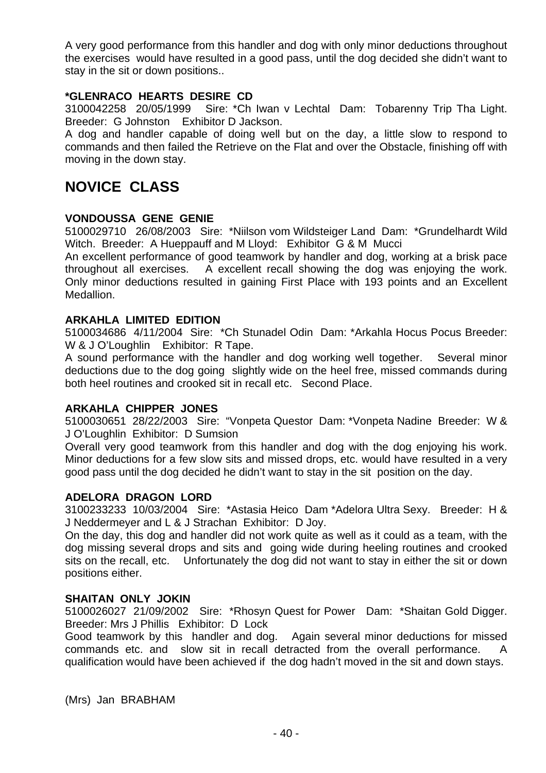A very good performance from this handler and dog with only minor deductions throughout the exercises would have resulted in a good pass, until the dog decided she didn't want to stay in the sit or down positions..

#### **\*GLENRACO HEARTS DESIRE CD**

3100042258 20/05/1999 Sire: \*Ch Iwan v Lechtal Dam: Tobarenny Trip Tha Light. Breeder: G Johnston Exhibitor D Jackson.

A dog and handler capable of doing well but on the day, a little slow to respond to commands and then failed the Retrieve on the Flat and over the Obstacle, finishing off with moving in the down stay.

# **NOVICE CLASS**

#### **VONDOUSSA GENE GENIE**

5100029710 26/08/2003 Sire: \*Niilson vom Wildsteiger Land Dam: \*Grundelhardt Wild Witch. Breeder: A Hueppauff and M Lloyd: Exhibitor G & M Mucci

An excellent performance of good teamwork by handler and dog, working at a brisk pace throughout all exercises. A excellent recall showing the dog was enjoying the work. Only minor deductions resulted in gaining First Place with 193 points and an Excellent Medallion.

#### **ARKAHLA LIMITED EDITION**

5100034686 4/11/2004 Sire: \*Ch Stunadel Odin Dam: \*Arkahla Hocus Pocus Breeder: W & J O'Loughlin Exhibitor: R Tape.

A sound performance with the handler and dog working well together. Several minor deductions due to the dog going slightly wide on the heel free, missed commands during both heel routines and crooked sit in recall etc. Second Place.

#### **ARKAHLA CHIPPER JONES**

5100030651 28/22/2003 Sire: "Vonpeta Questor Dam: \*Vonpeta Nadine Breeder: W & J O'Loughlin Exhibitor: D Sumsion

Overall very good teamwork from this handler and dog with the dog enjoying his work. Minor deductions for a few slow sits and missed drops, etc. would have resulted in a very good pass until the dog decided he didn't want to stay in the sit position on the day.

#### **ADELORA DRAGON LORD**

3100233233 10/03/2004 Sire: \*Astasia Heico Dam \*Adelora Ultra Sexy. Breeder: H & J Neddermeyer and L & J Strachan Exhibitor: D Joy.

On the day, this dog and handler did not work quite as well as it could as a team, with the dog missing several drops and sits and going wide during heeling routines and crooked sits on the recall, etc. Unfortunately the dog did not want to stay in either the sit or down positions either.

#### **SHAITAN ONLY JOKIN**

5100026027 21/09/2002 Sire: \*Rhosyn Quest for Power Dam: \*Shaitan Gold Digger. Breeder: Mrs J Phillis Exhibitor: D Lock

Good teamwork by this handler and dog. Again several minor deductions for missed commands etc. and slow sit in recall detracted from the overall performance. A qualification would have been achieved if the dog hadn't moved in the sit and down stays.

(Mrs) Jan BRABHAM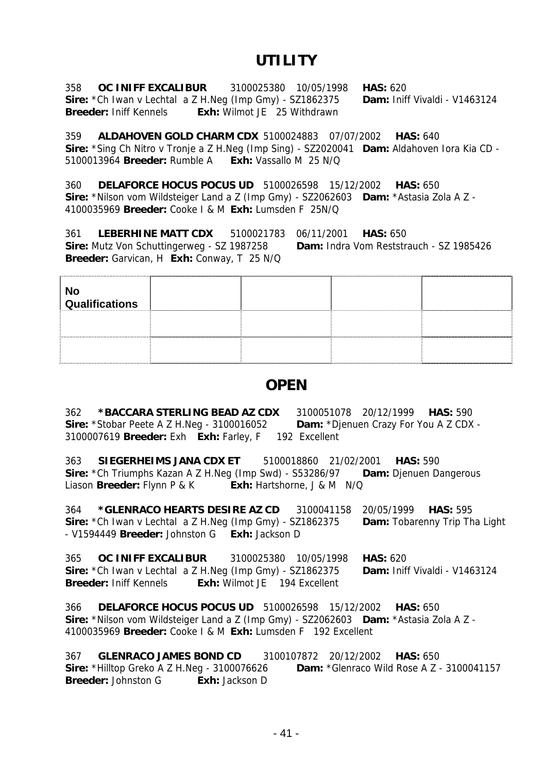# **UTILITY**

358 **OC INIFF EXCALIBUR** 3100025380 10/05/1998 **HAS:** 620 **Sire:** \*Ch Iwan v Lechtal a Z H.Neg (Imp Gmy) - SZ1862375 **Dam:** Iniff Vivaldi - V1463124 **Breeder:** Iniff Kennels **Exh:** Wilmot JE 25 Withdrawn

359 **ALDAHOVEN GOLD CHARM CDX** 5100024883 07/07/2002 **HAS:** 640 **Sire:** \*Sing Ch Nitro v Tronje a Z H.Neg (Imp Sing) - SZ2020041 **Dam:** Aldahoven Iora Kia CD - 5100013964 **Breeder:** Rumble A **Exh:** Vassallo M 25 N/Q

360 **DELAFORCE HOCUS POCUS UD** 5100026598 15/12/2002 **HAS:** 650 **Sire:** \*Nilson vom Wildsteiger Land a Z (Imp Gmy) - SZ2062603 **Dam:** \*Astasia Zola A Z - 4100035969 **Breeder:** Cooke I & M **Exh:** Lumsden F 25N/Q

361 **LEBERHINE MATT CDX** 5100021783 06/11/2001 **HAS:** 650 **Sire:** Mutz Von Schuttingerweg - SZ 1987258 **Dam:** Indra Vom Reststrauch - SZ 1985426 **Breeder:** Garvican, H **Exh:** Conway, T 25 N/Q

| No<br>Qualifications |  |  |
|----------------------|--|--|
|                      |  |  |
|                      |  |  |

# **OPEN**

362 **\*BACCARA STERLING BEAD AZ CDX** 3100051078 20/12/1999 **HAS:** 590 **Sire:** \*Stobar Peete A Z H.Neg - 3100016052 **Dam:** \*Djenuen Crazy For You A Z CDX - 3100007619 **Breeder:** Exh **Exh:** Farley, F 192 Excellent

363 **SIEGERHEIMS JANA CDX ET** 5100018860 21/02/2001 **HAS:** 590 **Sire:** \*Ch Triumphs Kazan A Z H.Neg (Imp Swd) - S53286/97 **Dam:** Djenuen Dangerous Liason **Breeder:** Flynn P & K **Exh:** Hartshorne, J & M N/Q

364 **\*GLENRACO HEARTS DESIRE AZ CD** 3100041158 20/05/1999 **HAS:** 595 **Sire:** \*Ch Iwan v Lechtal a Z H.Neg (Imp Gmy) - SZ1862375 **Dam:** Tobarenny Trip Tha Light - V1594449 **Breeder:** Johnston G **Exh:** Jackson D

365 **OC INIFF EXCALIBUR** 3100025380 10/05/1998 **HAS:** 620 **Sire:** \*Ch Iwan v Lechtal a Z H.Neg (Imp Gmy) - SZ1862375 **Breeder:** Iniff Kennels **Exh:** Wilmot JE 194 Excellent

366 **DELAFORCE HOCUS POCUS UD** 5100026598 15/12/2002 **HAS:** 650 **Sire:** \*Nilson vom Wildsteiger Land a Z (Imp Gmy) - SZ2062603 **Dam:** \*Astasia Zola A Z - 4100035969 **Breeder:** Cooke I & M **Exh:** Lumsden F 192 Excellent

367 **GLENRACO JAMES BOND CD** 3100107872 20/12/2002 **HAS:** 650 **Sire:** \*Hilltop Greko A Z H.Neg - 3100076626 **Dam:** \*Glenraco Wild Rose A Z - 3100041157 **Breeder:** Johnston G **Exh:** Jackson D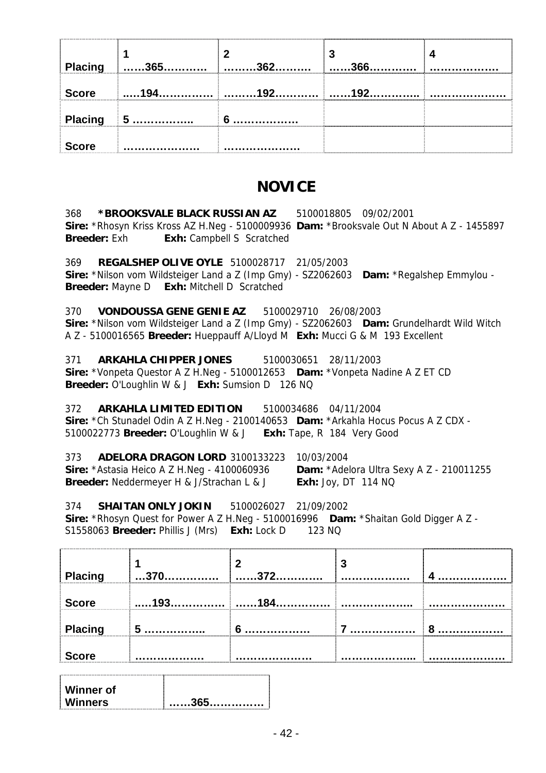| Placing      | $\ldots$ . 365. | つよつ | J<br>366 |  |
|--------------|-----------------|-----|----------|--|
| <b>Score</b> | 1 Q 4           | 102 | 192      |  |
|              | Placing 5       |     |          |  |
| <b>Score</b> |                 |     |          |  |

# **NOVICE**

368 **\*BROOKSVALE BLACK RUSSIAN AZ** 5100018805 09/02/2001 **Sire:** \*Rhosyn Kriss Kross AZ H.Neg - 5100009936 **Dam:** \*Brooksvale Out N About A Z - 1455897 **Breeder:** Exh **Exh:** Campbell S Scratched

369 **REGALSHEP OLIVE OYLE** 5100028717 21/05/2003 **Sire:** \*Nilson vom Wildsteiger Land a Z (Imp Gmy) - SZ2062603 **Dam:** \*Regalshep Emmylou - **Breeder:** Mayne D **Exh:** Mitchell D Scratched

370 **VONDOUSSA GENE GENIE AZ** 5100029710 26/08/2003 **Sire:** \*Nilson vom Wildsteiger Land a Z (Imp Gmy) - SZ2062603 **Dam:** Grundelhardt Wild Witch A Z - 5100016565 **Breeder:** Hueppauff A/Lloyd M **Exh:** Mucci G & M 193 Excellent

371 **ARKAHLA CHIPPER JONES** 5100030651 28/11/2003 **Sire:** \*Vonpeta Questor A Z H.Neg - 5100012653 **Dam:** \*Vonpeta Nadine A Z ET CD **Breeder:** O'Loughlin W & J **Exh:** Sumsion D 126 NQ

372 **ARKAHLA LIMITED EDITION** 5100034686 04/11/2004 **Sire:** \*Ch Stunadel Odin A Z H.Neg - 2100140653 **Dam:** \*Arkahla Hocus Pocus A Z CDX - 5100022773 **Breeder:** O'Loughlin W & J **Exh:** Tape, R 184 Very Good

373 **ADELORA DRAGON LORD** 3100133223 10/03/2004 **Sire:** \*Astasia Heico A Z H.Neg - 4100060936 **Dam:** \*Adelora Ultra Sexy A Z - 210011255 **Breeder:** Neddermeyer H & J/Strachan L & J **Exh:** Joy, DT 114 NQ

374 **SHAITAN ONLY JOKIN** 5100026027 21/09/2002 **Sire:** \*Rhosyn Quest for Power A Z H.Neg - 5100016996 **Dam:** \*Shaitan Gold Digger A Z - S1558063 **Breeder:** Phillis J (Mrs) **Exh:** Lock D 123 NQ

| Placing      | 370             | 272             | 3 |   |
|--------------|-----------------|-----------------|---|---|
| <b>Score</b> | 193             | 18 <sub>A</sub> | . | . |
| Placing      | $5\overline{5}$ | 6               |   | о |
| <b>Score</b> |                 |                 | . |   |
|              |                 |                 |   |   |

| Winner of |  |
|-----------|--|
| Winners   |  |